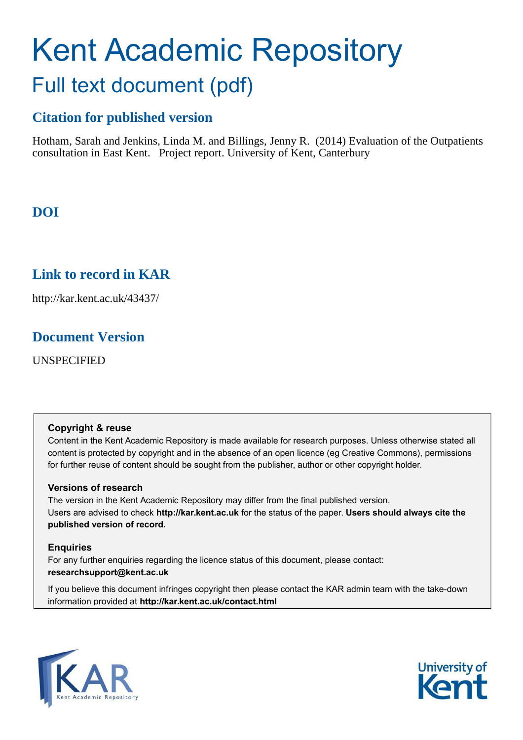# Kent Academic Repository Full text document (pdf)

# **Citation for published version**

Hotham, Sarah and Jenkins, Linda M. and Billings, Jenny R. (2014) Evaluation of the Outpatients consultation in East Kent. Project report. University of Kent, Canterbury

# **DOI**

# **Link to record in KAR**

http://kar.kent.ac.uk/43437/

# **Document Version**

UNSPECIFIED

## **Copyright & reuse**

Content in the Kent Academic Repository is made available for research purposes. Unless otherwise stated all content is protected by copyright and in the absence of an open licence (eg Creative Commons), permissions for further reuse of content should be sought from the publisher, author or other copyright holder.

## **Versions of research**

The version in the Kent Academic Repository may differ from the final published version. Users are advised to check **http://kar.kent.ac.uk** for the status of the paper. **Users should always cite the published version of record.**

## **Enquiries**

For any further enquiries regarding the licence status of this document, please contact: **researchsupport@kent.ac.uk**

If you believe this document infringes copyright then please contact the KAR admin team with the take-down information provided at **http://kar.kent.ac.uk/contact.html**



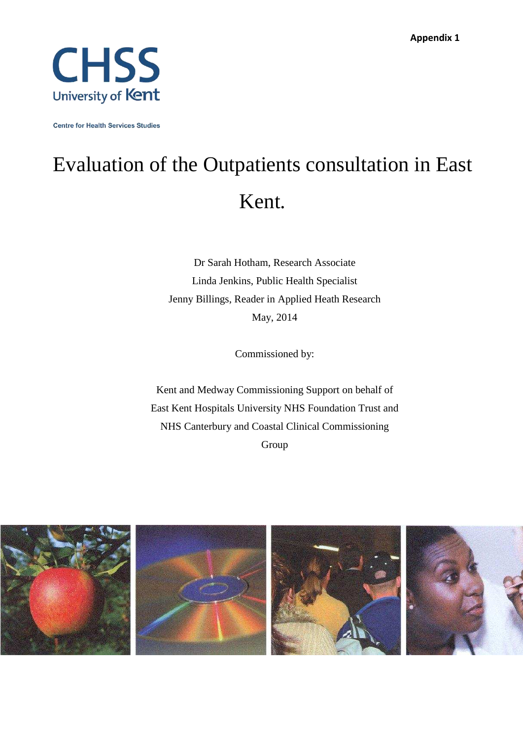

**Centre for Health Services Studies** 

# Evaluation of the Outpatients consultation in East Kent.

Dr Sarah Hotham, Research Associate Linda Jenkins, Public Health Specialist Jenny Billings, Reader in Applied Heath Research May, 2014

Commissioned by:

Kent and Medway Commissioning Support on behalf of East Kent Hospitals University NHS Foundation Trust and NHS Canterbury and Coastal Clinical Commissioning Group

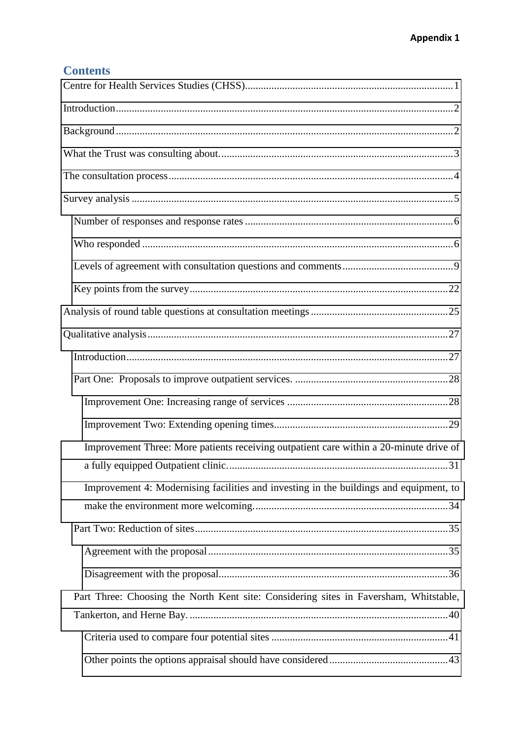# **Contents**

| Improvement Three: More patients receiving outpatient care within a 20-minute drive of |
|----------------------------------------------------------------------------------------|
| Improvement 4: Modernising facilities and investing in the buildings and equipment, to |
|                                                                                        |
|                                                                                        |
|                                                                                        |
| Part Three: Choosing the North Kent site: Considering sites in Faversham, Whitstable,  |
|                                                                                        |
|                                                                                        |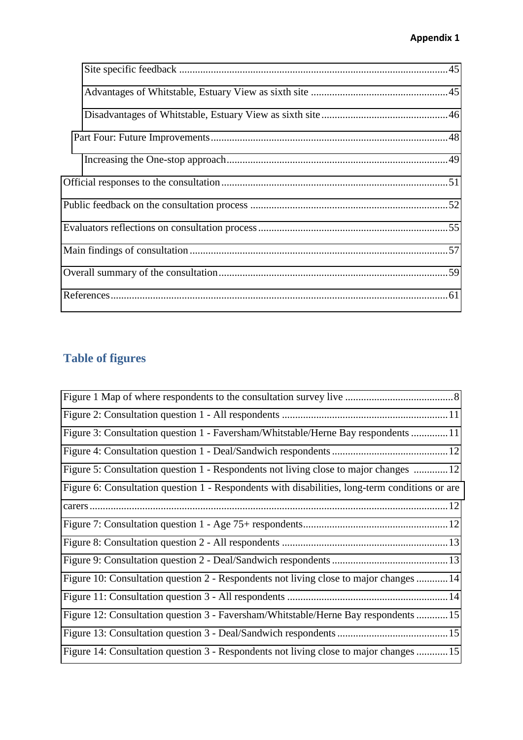# **Appendix 1**

# **Table of figures**

| Figure 3: Consultation question 1 - Faversham/Whitstable/Herne Bay respondents 11              |
|------------------------------------------------------------------------------------------------|
|                                                                                                |
| Figure 5: Consultation question 1 - Respondents not living close to major changes 12           |
| Figure 6: Consultation question 1 - Respondents with disabilities, long-term conditions or are |
|                                                                                                |
|                                                                                                |
|                                                                                                |
|                                                                                                |
| Figure 10: Consultation question 2 - Respondents not living close to major changes 14          |
|                                                                                                |
| Figure 12: Consultation question 3 - Faversham/Whitstable/Herne Bay respondents 15             |
|                                                                                                |
| Figure 14: Consultation question 3 - Respondents not living close to major changes 15          |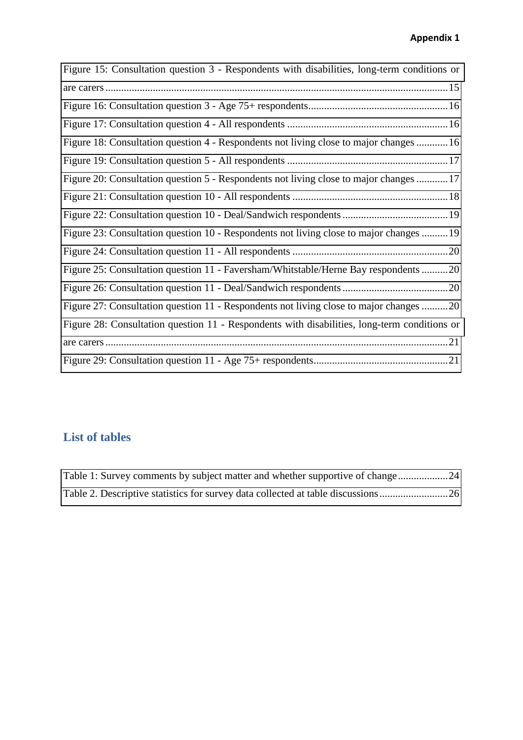<span id="page-4-0"></span>

| Figure 15: Consultation question 3 - Respondents with disabilities, long-term conditions or  |
|----------------------------------------------------------------------------------------------|
|                                                                                              |
|                                                                                              |
|                                                                                              |
| Figure 18: Consultation question 4 - Respondents not living close to major changes 16        |
|                                                                                              |
| Figure 20: Consultation question 5 - Respondents not living close to major changes 17        |
|                                                                                              |
|                                                                                              |
| Figure 23: Consultation question 10 - Respondents not living close to major changes 19       |
|                                                                                              |
| Figure 25: Consultation question 11 - Faversham/Whitstable/Herne Bay respondents 20          |
|                                                                                              |
| Figure 27: Consultation question 11 - Respondents not living close to major changes 20       |
| Figure 28: Consultation question 11 - Respondents with disabilities, long-term conditions or |
|                                                                                              |
|                                                                                              |

# **List of tables**

| Table 1: Survey comments by subject matter and whether supportive of change24  |  |
|--------------------------------------------------------------------------------|--|
| Table 2. Descriptive statistics for survey data collected at table discussions |  |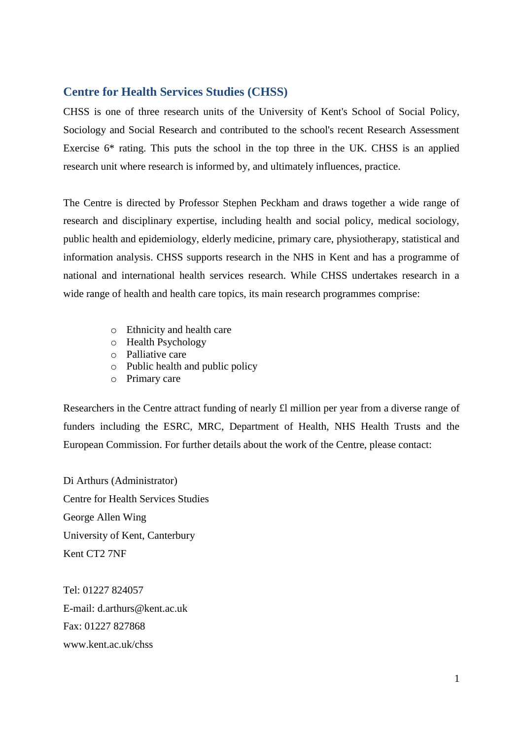## <span id="page-5-0"></span>**Centre for Health Services Studies (CHSS)**

CHSS is one of three research units of the University of Kent's School of Social Policy, Sociology and Social Research and contributed to the school's recent Research Assessment Exercise 6\* rating. This puts the school in the top three in the UK. CHSS is an applied research unit where research is informed by, and ultimately influences, practice.

The Centre is directed by Professor Stephen Peckham and draws together a wide range of research and disciplinary expertise, including health and social policy, medical sociology, public health and epidemiology, elderly medicine, primary care, physiotherapy, statistical and information analysis. CHSS supports research in the NHS in Kent and has a programme of national and international health services research. While CHSS undertakes research in a wide range of health and health care topics, its main research programmes comprise:

- o Ethnicity and health care
- <span id="page-5-1"></span>o Health Psychology
- o Palliative care
- o Public health and public policy
- o Primary care

Researchers in the Centre attract funding of nearly £l million per year from a diverse range of funders including the ESRC, MRC, Department of Health, NHS Health Trusts and the European Commission. For further details about the work of the Centre, please contact:

Di Arthurs (Administrator) Centre for Health Services Studies George Allen Wing University of Kent, Canterbury Kent CT2 7NF

Tel: 01227 824057 E-mail: d.arthurs@kent.ac.uk Fax: 01227 827868 www.kent.ac.uk/chss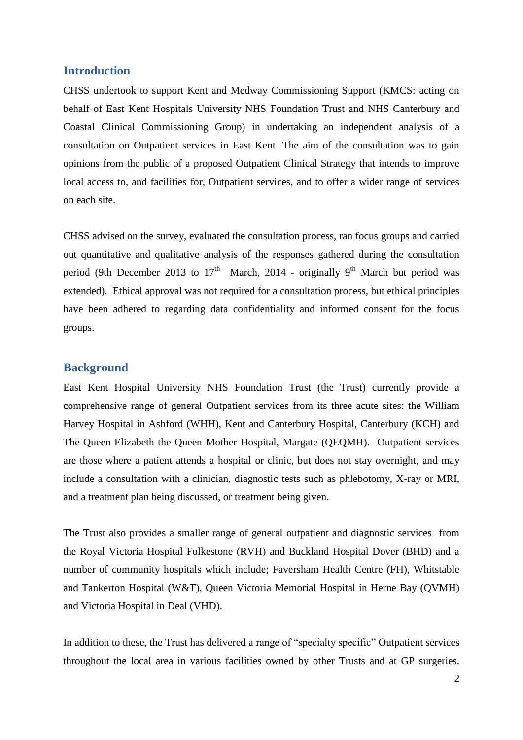## **Introduction**

CHSS undertook to support Kent and Medway Commissioning Support (KMCS: acting on behalf of East Kent Hospitals University NHS Foundation Trust and NHS Canterbury and Coastal Clinical Commissioning Group) in undertaking an independent analysis of a consultation on Outpatient services in East Kent. The aim of the consultation was to gain opinions from the public of a proposed Outpatient Clinical Strategy that intends to improve local access to, and facilities for, Outpatient services, and to offer a wider range of services on each site.

<span id="page-6-0"></span>CHSS advised on the survey, evaluated the consultation process, ran focus groups and carried out quantitative and qualitative analysis of the responses gathered during the consultation period (9th December 2013 to  $17<sup>th</sup>$  March, 2014 - originally 9<sup>th</sup> March but period was extended). Ethical approval was not required for a consultation process, but ethical principles have been adhered to regarding data confidentiality and informed consent for the focus groups.

## **Background**

East Kent Hospital University NHS Foundation Trust (the Trust) currently provide a comprehensive range of general Outpatient services from its three acute sites: the William Harvey Hospital in Ashford (WHH), Kent and Canterbury Hospital, Canterbury (KCH) and The Queen Elizabeth the Queen Mother Hospital, Margate (QEQMH). Outpatient services are those where a patient attends a hospital or clinic, but does not stay overnight, and may include a consultation with a clinician, diagnostic tests such as phlebotomy, X-ray or MRI, and a treatment plan being discussed, or treatment being given.

The Trust also provides a smaller range of general outpatient and diagnostic services from the Royal Victoria Hospital Folkestone (RVH) and Buckland Hospital Dover (BHD) and a number of community hospitals which include; Faversham Health Centre (FH), Whitstable and Tankerton Hospital (W&T), Queen Victoria Memorial Hospital in Herne Bay (QVMH) and Victoria Hospital in Deal (VHD).

In addition to these, the Trust has delivered a range of "specialty specific" Outpatient services throughout the local area in various facilities owned by other Trusts and at GP surgeries.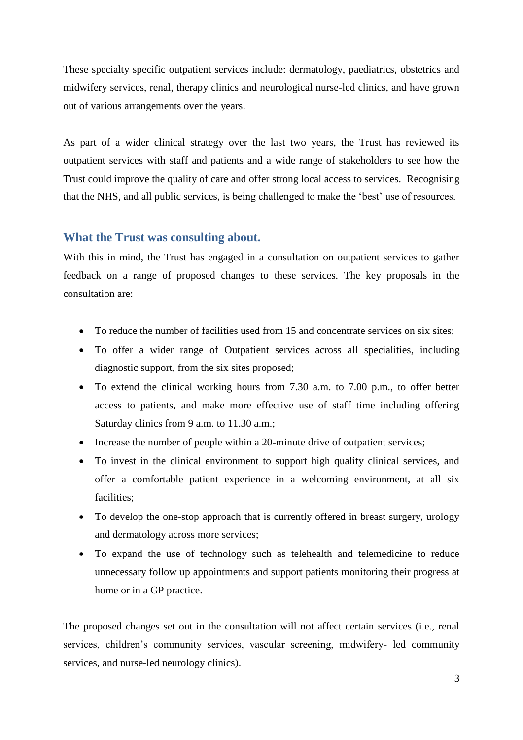<span id="page-7-0"></span>These specialty specific outpatient services include: dermatology, paediatrics, obstetrics and midwifery services, renal, therapy clinics and neurological nurse-led clinics, and have grown out of various arrangements over the years.

As part of a wider clinical strategy over the last two years, the Trust has reviewed its outpatient services with staff and patients and a wide range of stakeholders to see how the Trust could improve the quality of care and offer strong local access to services. Recognising that the NHS, and all public services, is being challenged to make the 'best' use of resources.

## **What the Trust was consulting about.**

With this in mind, the Trust has engaged in a consultation on outpatient services to gather feedback on a range of proposed changes to these services. The key proposals in the consultation are:

- To reduce the number of facilities used from 15 and concentrate services on six sites;
- To offer a wider range of Outpatient services across all specialities, including diagnostic support, from the six sites proposed;
- To extend the clinical working hours from 7.30 a.m. to 7.00 p.m., to offer better access to patients, and make more effective use of staff time including offering Saturday clinics from 9 a.m. to 11.30 a.m.;
- Increase the number of people within a 20-minute drive of outpatient services;
- To invest in the clinical environment to support high quality clinical services, and offer a comfortable patient experience in a welcoming environment, at all six facilities;
- To develop the one-stop approach that is currently offered in breast surgery, urology and dermatology across more services;
- To expand the use of technology such as telehealth and telemedicine to reduce unnecessary follow up appointments and support patients monitoring their progress at home or in a GP practice.

The proposed changes set out in the consultation will not affect certain services (i.e., renal services, children's community services, vascular screening, midwifery- led community services, and nurse-led neurology clinics).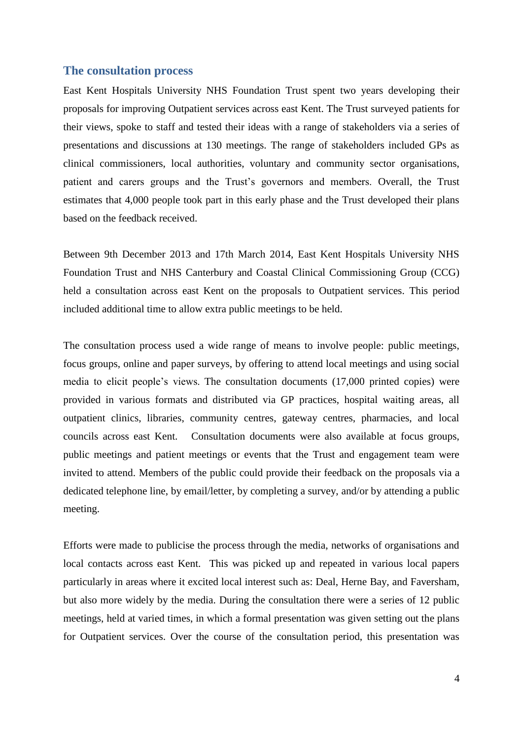## **The consultation process**

East Kent Hospitals University NHS Foundation Trust spent two years developing their proposals for improving Outpatient services across east Kent. The Trust surveyed patients for their views, spoke to staff and tested their ideas with a range of stakeholders via a series of presentations and discussions at 130 meetings. The range of stakeholders included GPs as clinical commissioners, local authorities, voluntary and community sector organisations, patient and carers groups and the Trust's governors and members. Overall, the Trust estimates that 4,000 people took part in this early phase and the Trust developed their plans based on the feedback received.

Between 9th December 2013 and 17th March 2014, East Kent Hospitals University NHS Foundation Trust and NHS Canterbury and Coastal Clinical Commissioning Group (CCG) held a consultation across east Kent on the proposals to Outpatient services. This period included additional time to allow extra public meetings to be held.

The consultation process used a wide range of means to involve people: public meetings, focus groups, online and paper surveys, by offering to attend local meetings and using social media to elicit people's views. The consultation documents (17,000 printed copies) were provided in various formats and distributed via GP practices, hospital waiting areas, all outpatient clinics, libraries, community centres, gateway centres, pharmacies, and local councils across east Kent. Consultation documents were also available at focus groups, public meetings and patient meetings or events that the Trust and engagement team were invited to attend. Members of the public could provide their feedback on the proposals via a dedicated telephone line, by email/letter, by completing a survey, and/or by attending a public meeting.

<span id="page-8-0"></span>Efforts were made to publicise the process through the media, networks of organisations and local contacts across east Kent. This was picked up and repeated in various local papers particularly in areas where it excited local interest such as: Deal, Herne Bay, and Faversham, but also more widely by the media. During the consultation there were a series of 12 public meetings, held at varied times, in which a formal presentation was given setting out the plans for Outpatient services. Over the course of the consultation period, this presentation was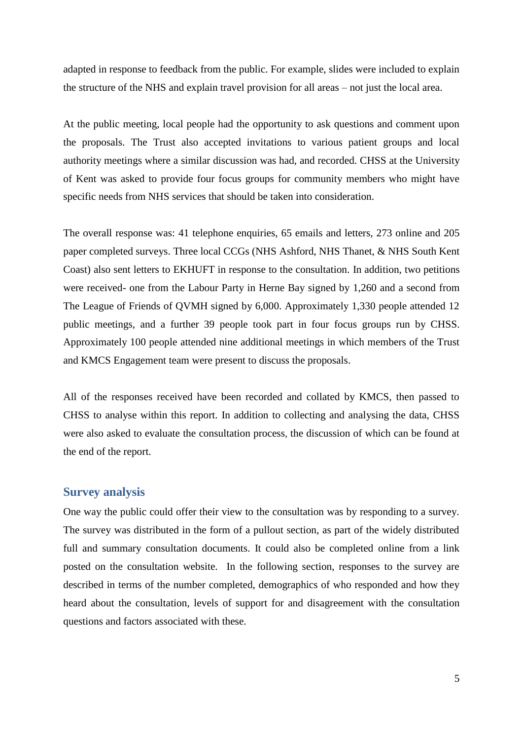<span id="page-9-0"></span>adapted in response to feedback from the public. For example, slides were included to explain the structure of the NHS and explain travel provision for all areas – not just the local area.

At the public meeting, local people had the opportunity to ask questions and comment upon the proposals. The Trust also accepted invitations to various patient groups and local authority meetings where a similar discussion was had, and recorded. CHSS at the University of Kent was asked to provide four focus groups for community members who might have specific needs from NHS services that should be taken into consideration.

The overall response was: 41 telephone enquiries, 65 emails and letters, 273 online and 205 paper completed surveys. Three local CCGs (NHS Ashford, NHS Thanet, & NHS South Kent Coast) also sent letters to EKHUFT in response to the consultation. In addition, two petitions were received- one from the Labour Party in Herne Bay signed by 1,260 and a second from The League of Friends of QVMH signed by 6,000. Approximately 1,330 people attended 12 public meetings, and a further 39 people took part in four focus groups run by CHSS. Approximately 100 people attended nine additional meetings in which members of the Trust and KMCS Engagement team were present to discuss the proposals.

All of the responses received have been recorded and collated by KMCS, then passed to CHSS to analyse within this report. In addition to collecting and analysing the data, CHSS were also asked to evaluate the consultation process, the discussion of which can be found at the end of the report.

## <span id="page-9-1"></span>**Survey analysis**

One way the public could offer their view to the consultation was by responding to a survey. The survey was distributed in the form of a pullout section, as part of the widely distributed full and summary consultation documents. It could also be completed online from a link posted on the consultation website. In the following section, responses to the survey are described in terms of the number completed, demographics of who responded and how they heard about the consultation, levels of support for and disagreement with the consultation questions and factors associated with these.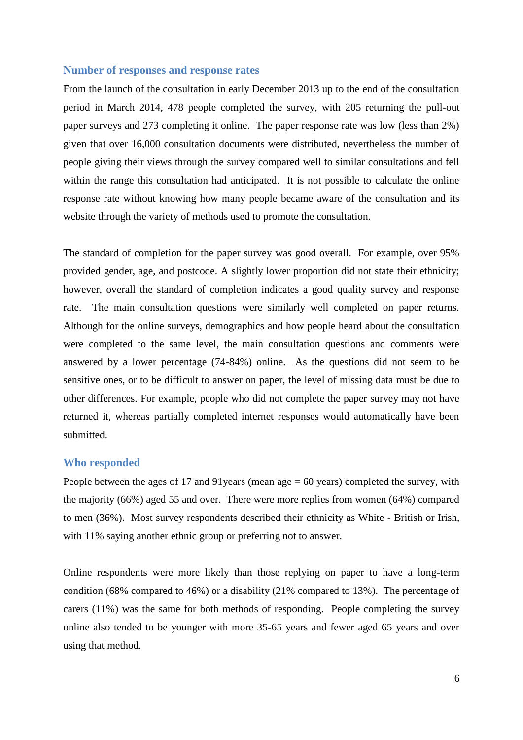#### **Number of responses and response rates**

From the launch of the consultation in early December 2013 up to the end of the consultation period in March 2014, 478 people completed the survey, with 205 returning the pull-out paper surveys and 273 completing it online. The paper response rate was low (less than 2%) given that over 16,000 consultation documents were distributed, nevertheless the number of people giving their views through the survey compared well to similar consultations and fell within the range this consultation had anticipated. It is not possible to calculate the online response rate without knowing how many people became aware of the consultation and its website through the variety of methods used to promote the consultation.

The standard of completion for the paper survey was good overall. For example, over 95% provided gender, age, and postcode. A slightly lower proportion did not state their ethnicity; however, overall the standard of completion indicates a good quality survey and response rate. The main consultation questions were similarly well completed on paper returns. Although for the online surveys, demographics and how people heard about the consultation were completed to the same level, the main consultation questions and comments were answered by a lower percentage (74-84%) online. As the questions did not seem to be sensitive ones, or to be difficult to answer on paper, the level of missing data must be due to other differences. For example, people who did not complete the paper survey may not have returned it, whereas partially completed internet responses would automatically have been submitted.

#### **Who responded**

People between the ages of 17 and 91years (mean age = 60 years) completed the survey, with the majority (66%) aged 55 and over. There were more replies from women (64%) compared to men (36%). Most survey respondents described their ethnicity as White - British or Irish, with 11% saying another ethnic group or preferring not to answer.

Online respondents were more likely than those replying on paper to have a long-term condition (68% compared to 46%) or a disability (21% compared to 13%). The percentage of carers (11%) was the same for both methods of responding. People completing the survey online also tended to be younger with more 35-65 years and fewer aged 65 years and over using that method.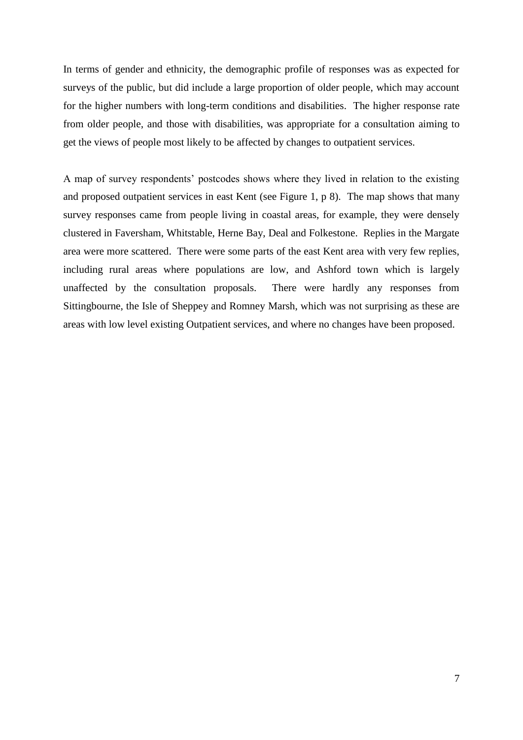<span id="page-11-0"></span>In terms of gender and ethnicity, the demographic profile of responses was as expected for surveys of the public, but did include a large proportion of older people, which may account for the higher numbers with long-term conditions and disabilities. The higher response rate from older people, and those with disabilities, was appropriate for a consultation aiming to get the views of people most likely to be affected by changes to outpatient services.

A map of survey respondents' postcodes shows where they lived in relation to the existing and proposed outpatient services in east Kent (see Figure 1, p 8). The map shows that many survey responses came from people living in coastal areas, for example, they were densely clustered in Faversham, Whitstable, Herne Bay, Deal and Folkestone. Replies in the Margate area were more scattered. There were some parts of the east Kent area with very few replies, including rural areas where populations are low, and Ashford town which is largely unaffected by the consultation proposals. There were hardly any responses from Sittingbourne, the Isle of Sheppey and Romney Marsh, which was not surprising as these are areas with low level existing Outpatient services, and where no changes have been proposed.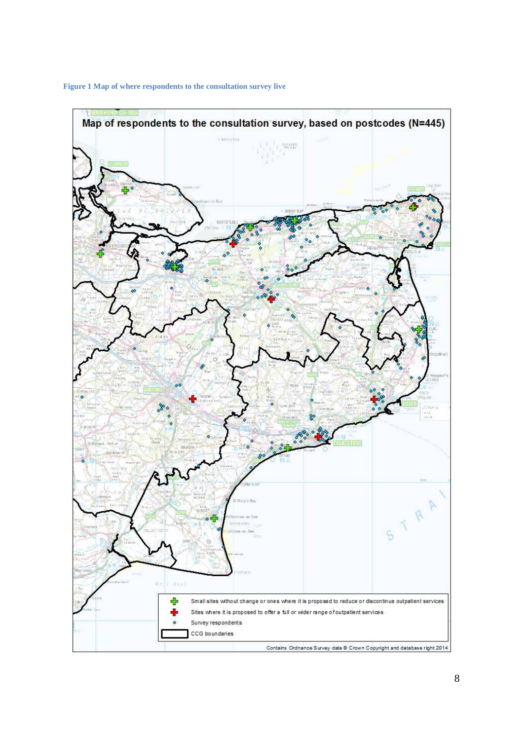

<span id="page-12-0"></span>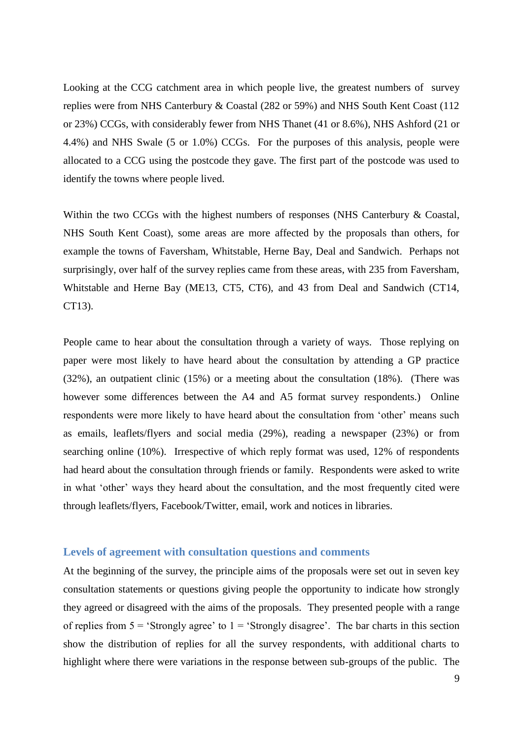Looking at the CCG catchment area in which people live, the greatest numbers of survey replies were from NHS Canterbury & Coastal (282 or 59%) and NHS South Kent Coast (112 or 23%) CCGs, with considerably fewer from NHS Thanet (41 or 8.6%), NHS Ashford (21 or 4.4%) and NHS Swale (5 or 1.0%) CCGs. For the purposes of this analysis, people were allocated to a CCG using the postcode they gave. The first part of the postcode was used to identify the towns where people lived.

Within the two CCGs with the highest numbers of responses (NHS Canterbury & Coastal, NHS South Kent Coast), some areas are more affected by the proposals than others, for example the towns of Faversham, Whitstable, Herne Bay, Deal and Sandwich. Perhaps not surprisingly, over half of the survey replies came from these areas, with 235 from Faversham, Whitstable and Herne Bay (ME13, CT5, CT6), and 43 from Deal and Sandwich (CT14, CT13).

People came to hear about the consultation through a variety of ways. Those replying on paper were most likely to have heard about the consultation by attending a GP practice (32%), an outpatient clinic (15%) or a meeting about the consultation (18%). (There was however some differences between the A4 and A5 format survey respondents.) Online respondents were more likely to have heard about the consultation from 'other' means such as emails, leaflets/flyers and social media (29%), reading a newspaper (23%) or from searching online (10%). Irrespective of which reply format was used, 12% of respondents had heard about the consultation through friends or family. Respondents were asked to write in what 'other' ways they heard about the consultation, and the most frequently cited were through leaflets/flyers, Facebook/Twitter, email, work and notices in libraries.

## **Levels of agreement with consultation questions and comments**

At the beginning of the survey, the principle aims of the proposals were set out in seven key consultation statements or questions giving people the opportunity to indicate how strongly they agreed or disagreed with the aims of the proposals. They presented people with a range of replies from  $5 =$  'Strongly agree' to  $1 =$  'Strongly disagree'. The bar charts in this section show the distribution of replies for all the survey respondents, with additional charts to highlight where there were variations in the response between sub-groups of the public. The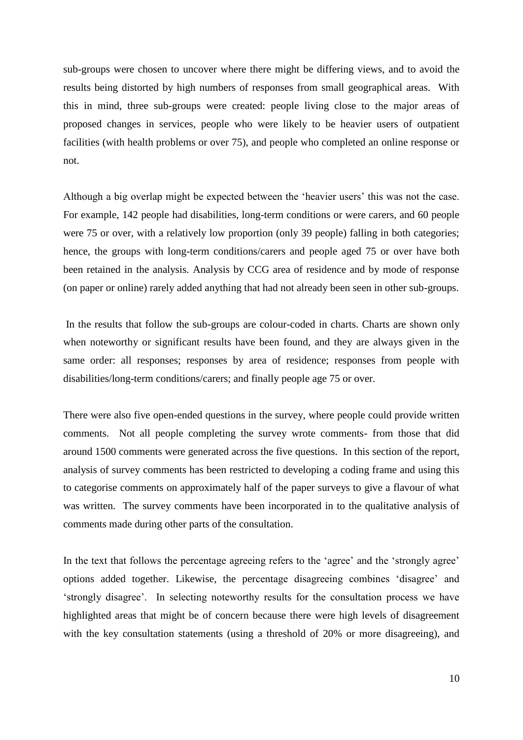sub-groups were chosen to uncover where there might be differing views, and to avoid the results being distorted by high numbers of responses from small geographical areas. With this in mind, three sub-groups were created: people living close to the major areas of proposed changes in services, people who were likely to be heavier users of outpatient facilities (with health problems or over 75), and people who completed an online response or not.

Although a big overlap might be expected between the 'heavier users' this was not the case. For example, 142 people had disabilities, long-term conditions or were carers, and 60 people were 75 or over, with a relatively low proportion (only 39 people) falling in both categories; hence, the groups with long-term conditions/carers and people aged 75 or over have both been retained in the analysis. Analysis by CCG area of residence and by mode of response (on paper or online) rarely added anything that had not already been seen in other sub-groups.

<span id="page-14-0"></span> In the results that follow the sub-groups are colour-coded in charts. Charts are shown only when noteworthy or significant results have been found, and they are always given in the same order: all responses; responses by area of residence; responses from people with disabilities/long-term conditions/carers; and finally people age 75 or over.

There were also five open-ended questions in the survey, where people could provide written comments. Not all people completing the survey wrote comments- from those that did around 1500 comments were generated across the five questions. In this section of the report, analysis of survey comments has been restricted to developing a coding frame and using this to categorise comments on approximately half of the paper surveys to give a flavour of what was written. The survey comments have been incorporated in to the qualitative analysis of comments made during other parts of the consultation.

<span id="page-14-1"></span>In the text that follows the percentage agreeing refers to the 'agree' and the 'strongly agree' options added together. Likewise, the percentage disagreeing combines 'disagree' and 'strongly disagree'. In selecting noteworthy results for the consultation process we have highlighted areas that might be of concern because there were high levels of disagreement with the key consultation statements (using a threshold of 20% or more disagreeing), and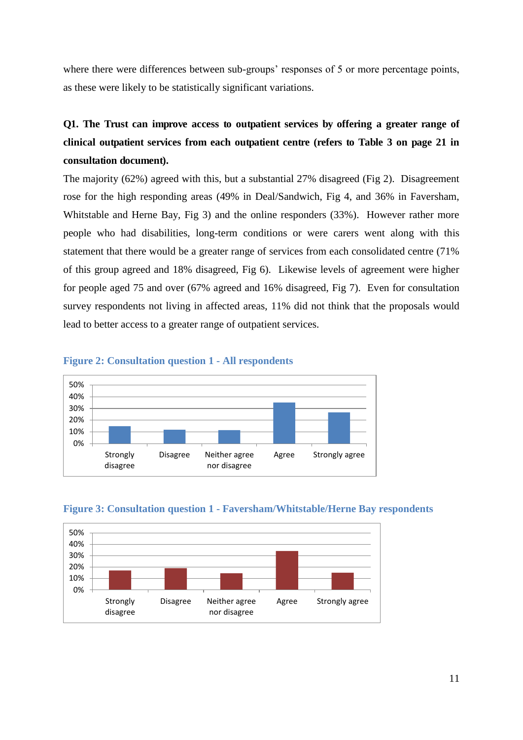<span id="page-15-0"></span>where there were differences between sub-groups' responses of 5 or more percentage points, as these were likely to be statistically significant variations.

# **Q1. The Trust can improve access to outpatient services by offering a greater range of clinical outpatient services from each outpatient centre (refers to Table 3 on page 21 in consultation document).**

<span id="page-15-1"></span>The majority (62%) agreed with this, but a substantial 27% disagreed (Fig 2). Disagreement rose for the high responding areas (49% in Deal/Sandwich, Fig 4, and 36% in Faversham, Whitstable and Herne Bay, Fig 3) and the online responders (33%). However rather more people who had disabilities, long-term conditions or were carers went along with this statement that there would be a greater range of services from each consolidated centre (71% of this group agreed and 18% disagreed, Fig 6). Likewise levels of agreement were higher for people aged 75 and over (67% agreed and 16% disagreed, Fig 7). Even for consultation survey respondents not living in affected areas, 11% did not think that the proposals would lead to better access to a greater range of outpatient services.



## <span id="page-15-2"></span>**Figure 2: Consultation question 1 - All respondents**



<span id="page-15-3"></span>**Figure 3: Consultation question 1 - Faversham/Whitstable/Herne Bay respondents**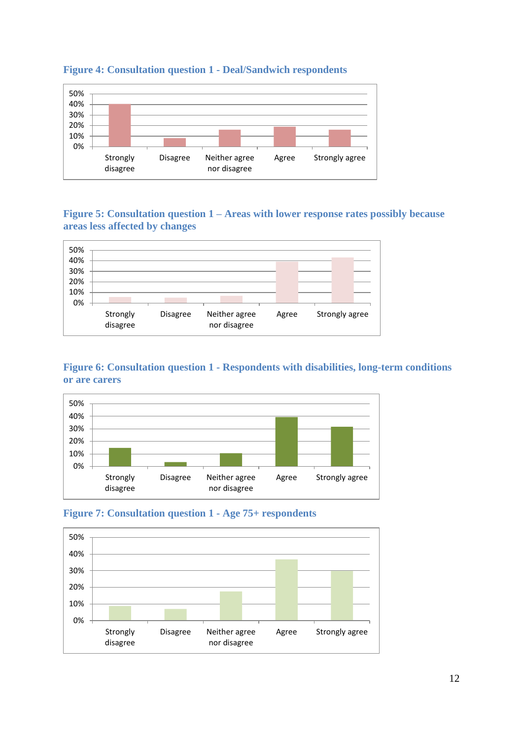

## **Figure 4: Consultation question 1 - Deal/Sandwich respondents**

## **Figure 5: Consultation question 1 – Areas with lower response rates possibly because areas less affected by changes**

<span id="page-16-0"></span>

## **Figure 6: Consultation question 1 - Respondents with disabilities, long-term conditions or are carers**

<span id="page-16-1"></span>



<span id="page-16-2"></span>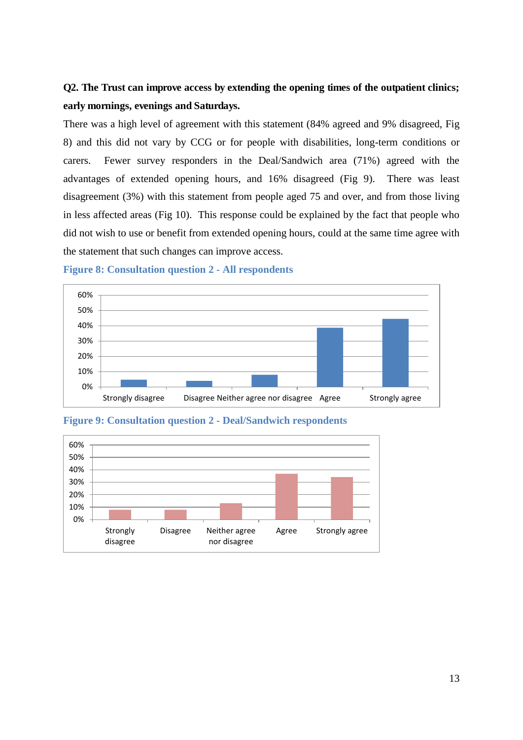# **Q2. The Trust can improve access by extending the opening times of the outpatient clinics; early mornings, evenings and Saturdays.**

There was a high level of agreement with this statement (84% agreed and 9% disagreed, Fig 8) and this did not vary by CCG or for people with disabilities, long-term conditions or carers. Fewer survey responders in the Deal/Sandwich area (71%) agreed with the advantages of extended opening hours, and 16% disagreed (Fig 9). There was least disagreement (3%) with this statement from people aged 75 and over, and from those living in less affected areas (Fig 10). This response could be explained by the fact that people who did not wish to use or benefit from extended opening hours, could at the same time agree with the statement that such changes can improve access.







<span id="page-17-0"></span>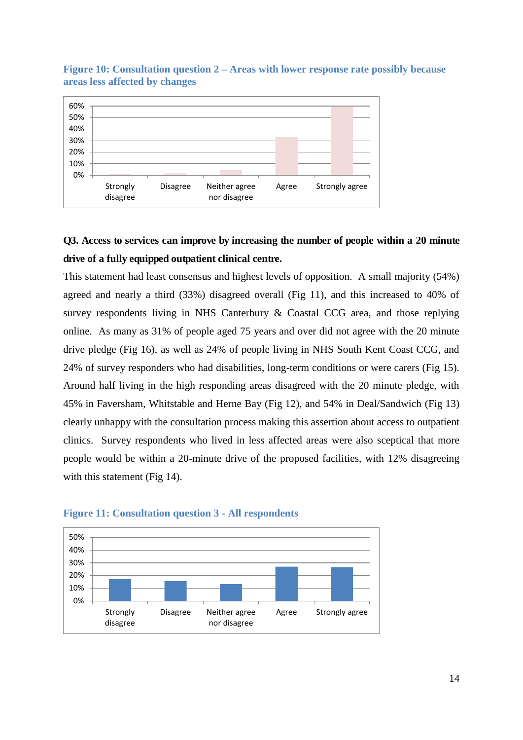

## <span id="page-18-0"></span>**Figure 10: Consultation question 2 – Areas with lower response rate possibly because areas less affected by changes**

# <span id="page-18-1"></span>**Q3. Access to services can improve by increasing the number of people within a 20 minute drive of a fully equipped outpatient clinical centre.**

<span id="page-18-2"></span>This statement had least consensus and highest levels of opposition. A small majority (54%) agreed and nearly a third (33%) disagreed overall (Fig 11), and this increased to 40% of survey respondents living in NHS Canterbury & Coastal CCG area, and those replying online. As many as 31% of people aged 75 years and over did not agree with the 20 minute drive pledge (Fig 16), as well as 24% of people living in NHS South Kent Coast CCG, and 24% of survey responders who had disabilities, long-term conditions or were carers (Fig 15). Around half living in the high responding areas disagreed with the 20 minute pledge, with 45% in Faversham, Whitstable and Herne Bay (Fig 12), and 54% in Deal/Sandwich (Fig 13) clearly unhappy with the consultation process making this assertion about access to outpatient clinics. Survey respondents who lived in less affected areas were also sceptical that more people would be within a 20-minute drive of the proposed facilities, with 12% disagreeing with this statement (Fig 14).

<span id="page-18-3"></span>

## **Figure 11: Consultation question 3 - All respondents**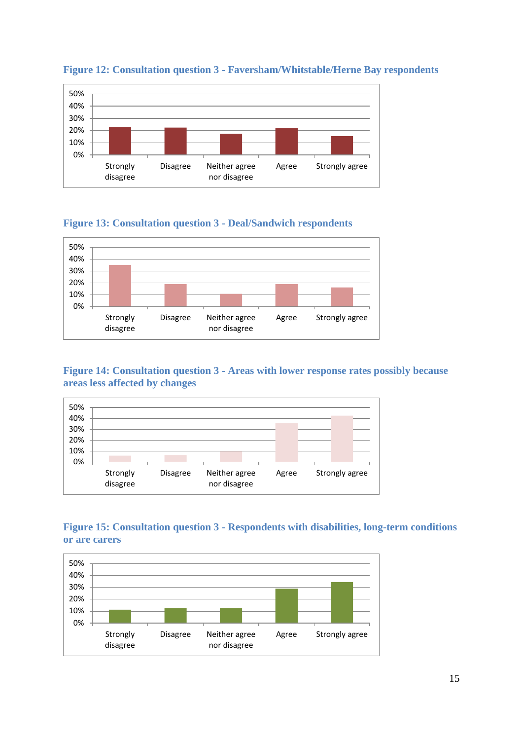<span id="page-19-0"></span>

## **Figure 12: Consultation question 3 - Faversham/Whitstable/Herne Bay respondents**

## **Figure 13: Consultation question 3 - Deal/Sandwich respondents**



## <span id="page-19-1"></span>**Figure 14: Consultation question 3 - Areas with lower response rates possibly because areas less affected by changes**



## <span id="page-19-2"></span>**Figure 15: Consultation question 3 - Respondents with disabilities, long-term conditions or are carers**

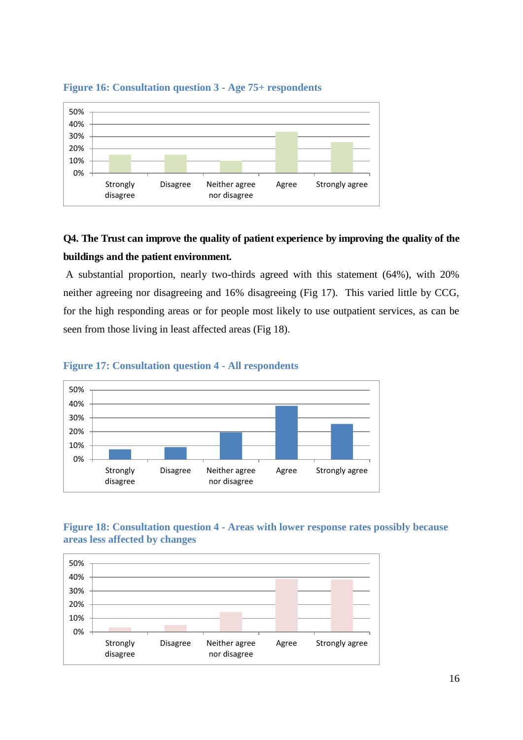<span id="page-20-0"></span>

## **Figure 16: Consultation question 3 - Age 75+ respondents**

# **Q4. The Trust can improve the quality of patient experience by improving the quality of the buildings and the patient environment.**

<span id="page-20-1"></span> A substantial proportion, nearly two-thirds agreed with this statement (64%), with 20% neither agreeing nor disagreeing and 16% disagreeing (Fig 17). This varied little by CCG, for the high responding areas or for people most likely to use outpatient services, as can be seen from those living in least affected areas (Fig 18).



#### **Figure 17: Consultation question 4 - All respondents**

## **Figure 18: Consultation question 4 - Areas with lower response rates possibly because areas less affected by changes**

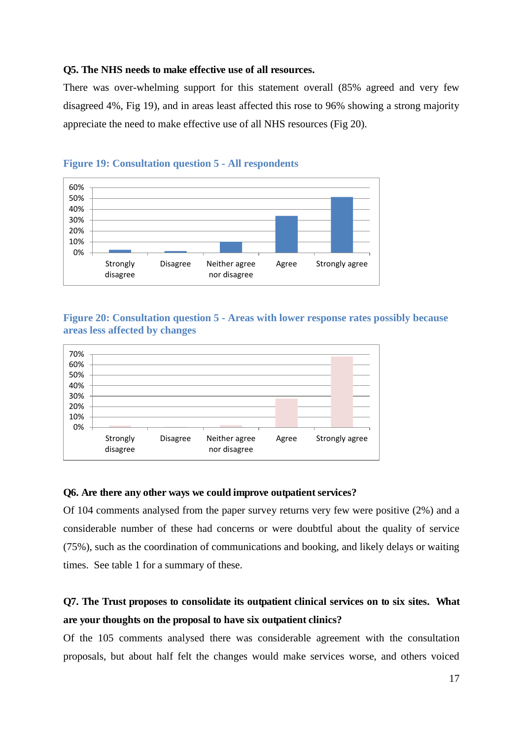#### **Q5. The NHS needs to make effective use of all resources.**

There was over-whelming support for this statement overall (85% agreed and very few disagreed 4%, Fig 19), and in areas least affected this rose to 96% showing a strong majority appreciate the need to make effective use of all NHS resources (Fig 20).



## **Figure 19: Consultation question 5 - All respondents**

**Figure 20: Consultation question 5 - Areas with lower response rates possibly because areas less affected by changes** 



#### **Q6. Are there any other ways we could improve outpatient services?**

<span id="page-21-0"></span>Of 104 comments analysed from the paper survey returns very few were positive (2%) and a considerable number of these had concerns or were doubtful about the quality of service (75%), such as the coordination of communications and booking, and likely delays or waiting times. See table 1 for a summary of these.

# **Q7. The Trust proposes to consolidate its outpatient clinical services on to six sites. What are your thoughts on the proposal to have six outpatient clinics?**

Of the 105 comments analysed there was considerable agreement with the consultation proposals, but about half felt the changes would make services worse, and others voiced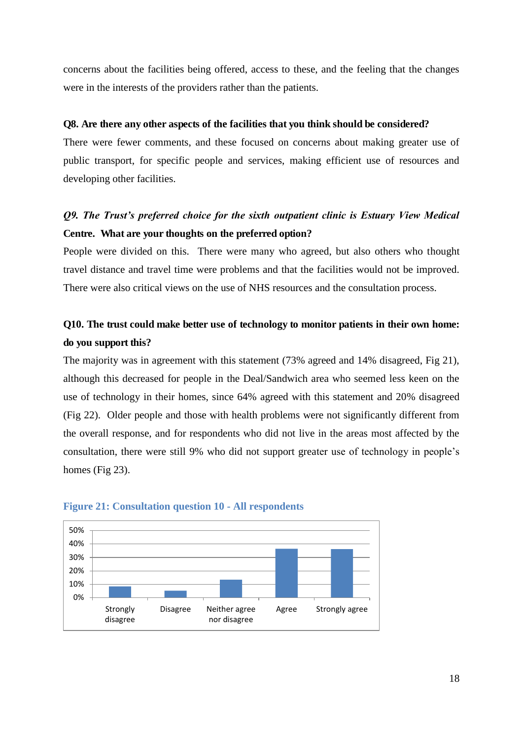<span id="page-22-0"></span>concerns about the facilities being offered, access to these, and the feeling that the changes were in the interests of the providers rather than the patients.

#### **Q8. Are there any other aspects of the facilities that you think should be considered?**

There were fewer comments, and these focused on concerns about making greater use of public transport, for specific people and services, making efficient use of resources and developing other facilities.

## <span id="page-22-1"></span>*Q9. The Trust's preferred choice for the sixth outpatient clinic is Estuary View Medical*  **Centre. What are your thoughts on the preferred option?**

People were divided on this. There were many who agreed, but also others who thought travel distance and travel time were problems and that the facilities would not be improved. There were also critical views on the use of NHS resources and the consultation process.

# **Q10. The trust could make better use of technology to monitor patients in their own home: do you support this?**

The majority was in agreement with this statement (73% agreed and 14% disagreed, Fig 21), although this decreased for people in the Deal/Sandwich area who seemed less keen on the use of technology in their homes, since 64% agreed with this statement and 20% disagreed (Fig 22). Older people and those with health problems were not significantly different from the overall response, and for respondents who did not live in the areas most affected by the consultation, there were still 9% who did not support greater use of technology in people's homes (Fig 23).



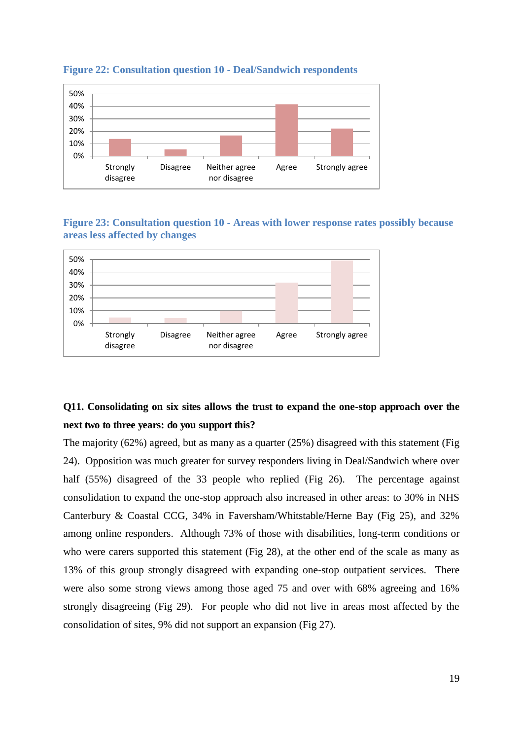<span id="page-23-0"></span>

#### **Figure 22: Consultation question 10 - Deal/Sandwich respondents**



<span id="page-23-1"></span>

# <span id="page-23-2"></span>**Q11. Consolidating on six sites allows the trust to expand the one-stop approach over the next two to three years: do you support this?**

<span id="page-23-3"></span>The majority (62%) agreed, but as many as a quarter (25%) disagreed with this statement (Fig 24). Opposition was much greater for survey responders living in Deal/Sandwich where over half (55%) disagreed of the 33 people who replied (Fig 26). The percentage against consolidation to expand the one-stop approach also increased in other areas: to 30% in NHS Canterbury & Coastal CCG, 34% in Faversham/Whitstable/Herne Bay (Fig 25), and 32% among online responders. Although 73% of those with disabilities, long-term conditions or who were carers supported this statement (Fig 28), at the other end of the scale as many as 13% of this group strongly disagreed with expanding one-stop outpatient services. There were also some strong views among those aged 75 and over with 68% agreeing and 16% strongly disagreeing (Fig 29). For people who did not live in areas most affected by the consolidation of sites, 9% did not support an expansion (Fig 27).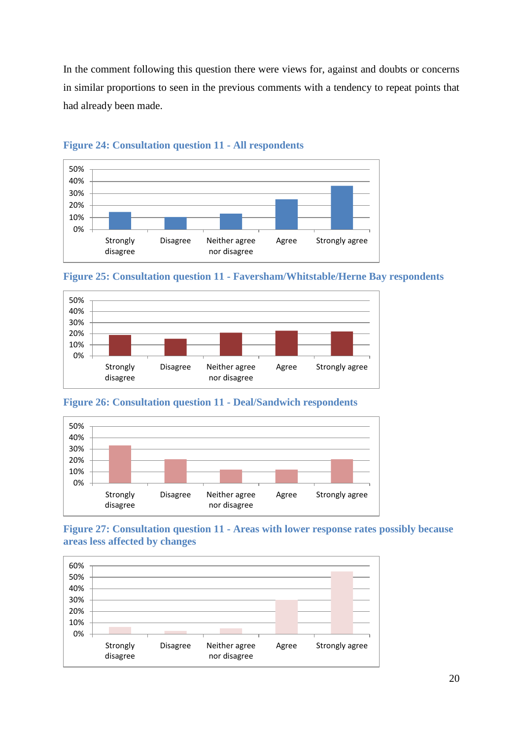<span id="page-24-0"></span>In the comment following this question there were views for, against and doubts or concerns in similar proportions to seen in the previous comments with a tendency to repeat points that had already been made.



## **Figure 24: Consultation question 11 - All respondents**

<span id="page-24-1"></span>



## **Figure 26: Consultation question 11 - Deal/Sandwich respondents**



**Figure 27: Consultation question 11 - Areas with lower response rates possibly because areas less affected by changes** 

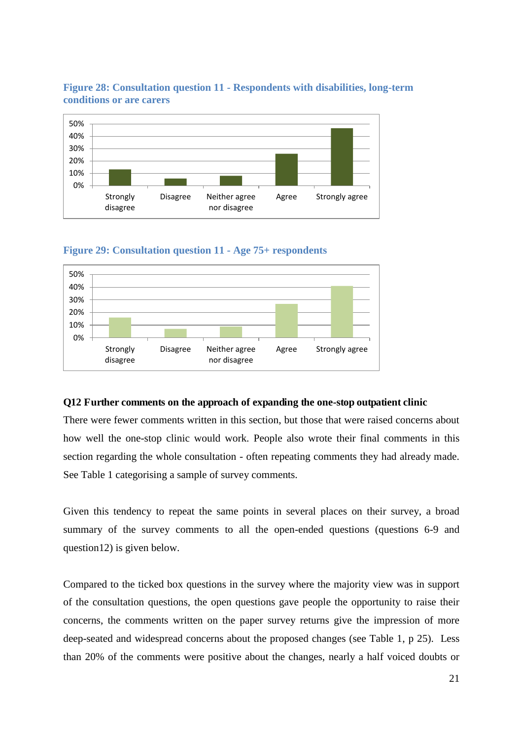

## **Figure 28: Consultation question 11 - Respondents with disabilities, long-term conditions or are carers**



<span id="page-25-0"></span>

## **Q12 Further comments on the approach of expanding the one-stop outpatient clinic**

There were fewer comments written in this section, but those that were raised concerns about how well the one-stop clinic would work. People also wrote their final comments in this section regarding the whole consultation - often repeating comments they had already made. See Table 1 categorising a sample of survey comments.

Given this tendency to repeat the same points in several places on their survey, a broad summary of the survey comments to all the open-ended questions (questions 6-9 and question12) is given below.

Compared to the ticked box questions in the survey where the majority view was in support of the consultation questions, the open questions gave people the opportunity to raise their concerns, the comments written on the paper survey returns give the impression of more deep-seated and widespread concerns about the proposed changes (see Table 1, p 25). Less than 20% of the comments were positive about the changes, nearly a half voiced doubts or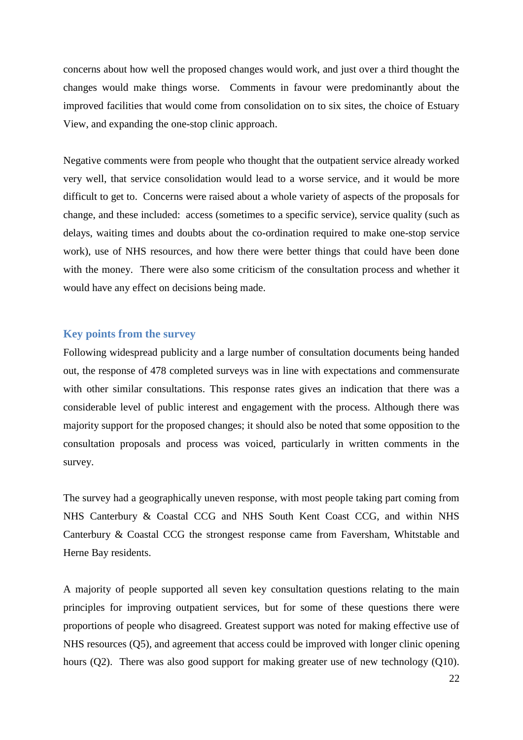concerns about how well the proposed changes would work, and just over a third thought the changes would make things worse. Comments in favour were predominantly about the improved facilities that would come from consolidation on to six sites, the choice of Estuary View, and expanding the one-stop clinic approach.

Negative comments were from people who thought that the outpatient service already worked very well, that service consolidation would lead to a worse service, and it would be more difficult to get to. Concerns were raised about a whole variety of aspects of the proposals for change, and these included: access (sometimes to a specific service), service quality (such as delays, waiting times and doubts about the co-ordination required to make one-stop service work), use of NHS resources, and how there were better things that could have been done with the money. There were also some criticism of the consultation process and whether it would have any effect on decisions being made.

## **Key points from the survey**

Following widespread publicity and a large number of consultation documents being handed out, the response of 478 completed surveys was in line with expectations and commensurate with other similar consultations. This response rates gives an indication that there was a considerable level of public interest and engagement with the process. Although there was majority support for the proposed changes; it should also be noted that some opposition to the consultation proposals and process was voiced, particularly in written comments in the survey.

The survey had a geographically uneven response, with most people taking part coming from NHS Canterbury & Coastal CCG and NHS South Kent Coast CCG, and within NHS Canterbury & Coastal CCG the strongest response came from Faversham, Whitstable and Herne Bay residents.

A majority of people supported all seven key consultation questions relating to the main principles for improving outpatient services, but for some of these questions there were proportions of people who disagreed. Greatest support was noted for making effective use of NHS resources (Q5), and agreement that access could be improved with longer clinic opening hours (Q2). There was also good support for making greater use of new technology (Q10).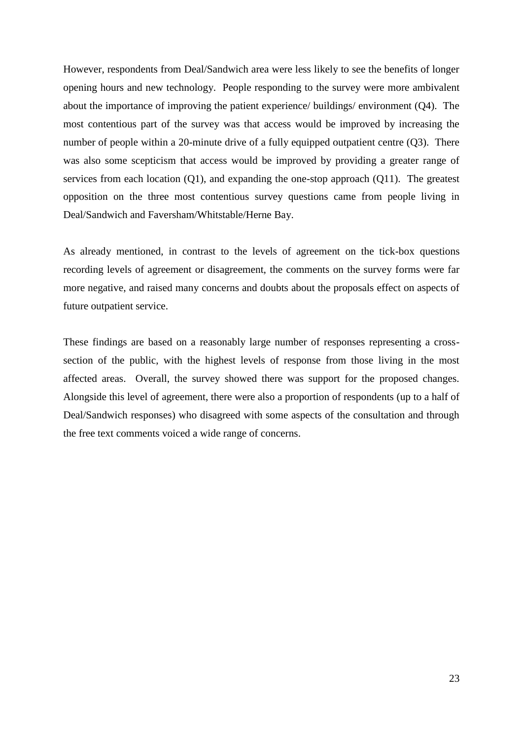<span id="page-27-0"></span>However, respondents from Deal/Sandwich area were less likely to see the benefits of longer opening hours and new technology. People responding to the survey were more ambivalent about the importance of improving the patient experience/ buildings/ environment (Q4). The most contentious part of the survey was that access would be improved by increasing the number of people within a 20-minute drive of a fully equipped outpatient centre (Q3). There was also some scepticism that access would be improved by providing a greater range of services from each location (Q1), and expanding the one-stop approach (Q11). The greatest opposition on the three most contentious survey questions came from people living in Deal/Sandwich and Faversham/Whitstable/Herne Bay.

As already mentioned, in contrast to the levels of agreement on the tick-box questions recording levels of agreement or disagreement, the comments on the survey forms were far more negative, and raised many concerns and doubts about the proposals effect on aspects of future outpatient service.

These findings are based on a reasonably large number of responses representing a crosssection of the public, with the highest levels of response from those living in the most affected areas. Overall, the survey showed there was support for the proposed changes. Alongside this level of agreement, there were also a proportion of respondents (up to a half of Deal/Sandwich responses) who disagreed with some aspects of the consultation and through the free text comments voiced a wide range of concerns.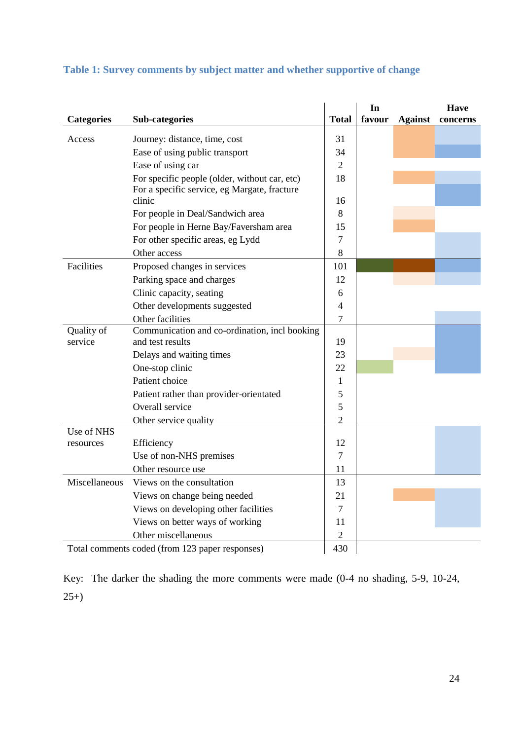|                   |                                               |                | In     |                | <b>Have</b> |
|-------------------|-----------------------------------------------|----------------|--------|----------------|-------------|
| <b>Categories</b> | Sub-categories                                | <b>Total</b>   | favour | <b>Against</b> | concerns    |
| Access            | Journey: distance, time, cost                 | 31             |        |                |             |
|                   | Ease of using public transport                | 34             |        |                |             |
|                   | Ease of using car                             | $\overline{2}$ |        |                |             |
|                   | For specific people (older, without car, etc) | 18             |        |                |             |
|                   | For a specific service, eg Margate, fracture  |                |        |                |             |
|                   | clinic                                        | 16             |        |                |             |
|                   | For people in Deal/Sandwich area              | 8              |        |                |             |
|                   | For people in Herne Bay/Faversham area        | 15             |        |                |             |
|                   | For other specific areas, eg Lydd             | $\overline{7}$ |        |                |             |
|                   | Other access                                  | 8              |        |                |             |
| Facilities        | Proposed changes in services                  | 101            |        |                |             |
|                   | Parking space and charges                     | 12             |        |                |             |
|                   | Clinic capacity, seating                      | 6              |        |                |             |
|                   | Other developments suggested                  | $\overline{4}$ |        |                |             |
|                   | Other facilities                              | $\overline{7}$ |        |                |             |
| Quality of        | Communication and co-ordination, incl booking |                |        |                |             |
| service           | and test results                              | 19             |        |                |             |
|                   | Delays and waiting times                      | 23             |        |                |             |
|                   | One-stop clinic                               | 22             |        |                |             |
|                   | Patient choice                                | 1              |        |                |             |
|                   | Patient rather than provider-orientated       | 5              |        |                |             |
|                   | Overall service                               | 5              |        |                |             |
|                   | Other service quality                         | $\overline{2}$ |        |                |             |
| Use of NHS        |                                               |                |        |                |             |
| resources         | Efficiency                                    | 12             |        |                |             |
|                   | Use of non-NHS premises                       | $\overline{7}$ |        |                |             |
|                   | Other resource use                            | 11             |        |                |             |
| Miscellaneous     | Views on the consultation                     | 13             |        |                |             |
|                   | Views on change being needed                  | 21             |        |                |             |
|                   | Views on developing other facilities          | $\overline{7}$ |        |                |             |
|                   | Views on better ways of working               | 11             |        |                |             |
|                   | Other miscellaneous                           | $\overline{2}$ |        |                |             |
|                   |                                               |                |        |                |             |

## <span id="page-28-0"></span>**Table 1: Survey comments by subject matter and whether supportive of change**

Total comments coded (from 123 paper responses) 430

Key: The darker the shading the more comments were made (0-4 no shading, 5-9, 10-24,  $25+)$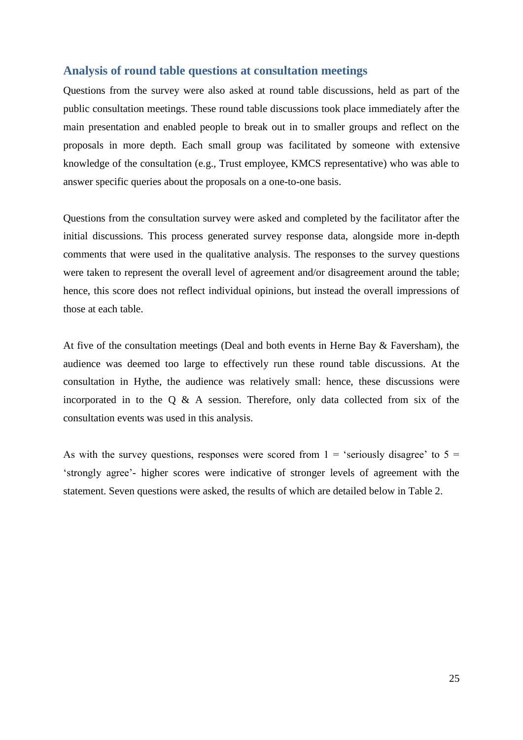## <span id="page-29-0"></span>**Analysis of round table questions at consultation meetings**

Questions from the survey were also asked at round table discussions, held as part of the public consultation meetings. These round table discussions took place immediately after the main presentation and enabled people to break out in to smaller groups and reflect on the proposals in more depth. Each small group was facilitated by someone with extensive knowledge of the consultation (e.g., Trust employee, KMCS representative) who was able to answer specific queries about the proposals on a one-to-one basis.

Questions from the consultation survey were asked and completed by the facilitator after the initial discussions. This process generated survey response data, alongside more in-depth comments that were used in the qualitative analysis. The responses to the survey questions were taken to represent the overall level of agreement and/or disagreement around the table; hence, this score does not reflect individual opinions, but instead the overall impressions of those at each table.

At five of the consultation meetings (Deal and both events in Herne Bay & Faversham), the audience was deemed too large to effectively run these round table discussions. At the consultation in Hythe, the audience was relatively small: hence, these discussions were incorporated in to the Q & A session. Therefore, only data collected from six of the consultation events was used in this analysis.

As with the survey questions, responses were scored from  $1 =$  'seriously disagree' to  $5 =$ 'strongly agree'- higher scores were indicative of stronger levels of agreement with the statement. Seven questions were asked, the results of which are detailed below in Table 2.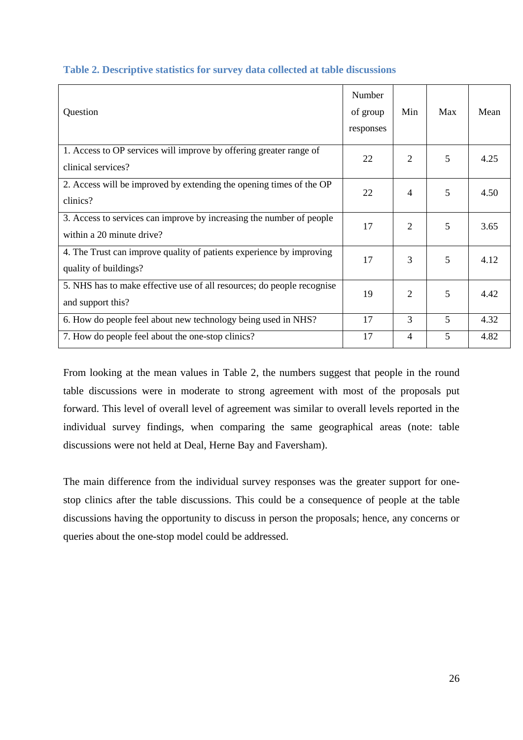<span id="page-30-1"></span>

| Question                                                                                          | Number<br>of group<br>responses | Min            | Max | Mean |
|---------------------------------------------------------------------------------------------------|---------------------------------|----------------|-----|------|
| 1. Access to OP services will improve by offering greater range of<br>clinical services?          | 22                              | 2              | 5   | 4.25 |
| 2. Access will be improved by extending the opening times of the OP<br>clinics?                   | 22                              | 4              | 5   | 4.50 |
| 3. Access to services can improve by increasing the number of people<br>within a 20 minute drive? | 17                              | 2              | 5   | 3.65 |
| 4. The Trust can improve quality of patients experience by improving<br>quality of buildings?     | 17                              | 3              | 5   | 4.12 |
| 5. NHS has to make effective use of all resources; do people recognise<br>and support this?       | 19                              | 2              | 5   | 4.42 |
| 6. How do people feel about new technology being used in NHS?                                     | 17                              | 3              | 5   | 4.32 |
| 7. How do people feel about the one-stop clinics?                                                 | 17                              | $\overline{4}$ | 5   | 4.82 |

## <span id="page-30-0"></span>**Table 2. Descriptive statistics for survey data collected at table discussions**

From looking at the mean values in Table 2, the numbers suggest that people in the round table discussions were in moderate to strong agreement with most of the proposals put forward. This level of overall level of agreement was similar to overall levels reported in the individual survey findings, when comparing the same geographical areas (note: table discussions were not held at Deal, Herne Bay and Faversham).

The main difference from the individual survey responses was the greater support for onestop clinics after the table discussions. This could be a consequence of people at the table discussions having the opportunity to discuss in person the proposals; hence, any concerns or queries about the one-stop model could be addressed.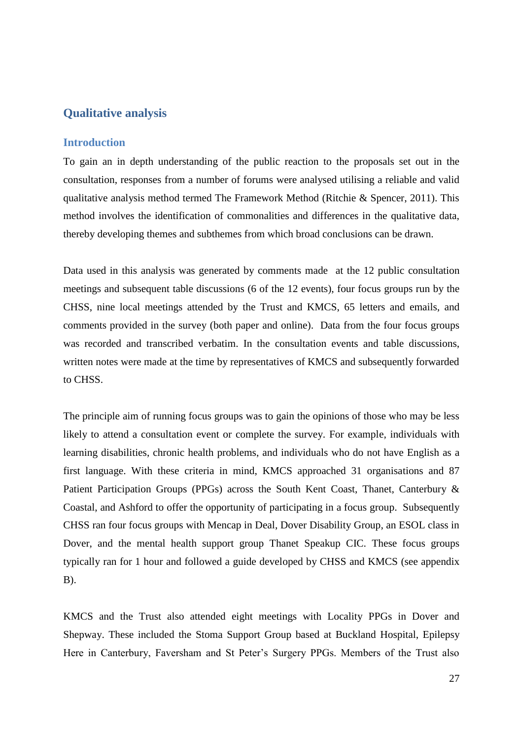## **Qualitative analysis**

## **Introduction**

To gain an in depth understanding of the public reaction to the proposals set out in the consultation, responses from a number of forums were analysed utilising a reliable and valid qualitative analysis method termed The Framework Method (Ritchie & Spencer, 2011). This method involves the identification of commonalities and differences in the qualitative data, thereby developing themes and subthemes from which broad conclusions can be drawn.

<span id="page-31-0"></span>Data used in this analysis was generated by comments made at the 12 public consultation meetings and subsequent table discussions (6 of the 12 events), four focus groups run by the CHSS, nine local meetings attended by the Trust and KMCS, 65 letters and emails, and comments provided in the survey (both paper and online). Data from the four focus groups was recorded and transcribed verbatim. In the consultation events and table discussions, written notes were made at the time by representatives of KMCS and subsequently forwarded to CHSS.

<span id="page-31-1"></span>The principle aim of running focus groups was to gain the opinions of those who may be less likely to attend a consultation event or complete the survey. For example, individuals with learning disabilities, chronic health problems, and individuals who do not have English as a first language. With these criteria in mind, KMCS approached 31 organisations and 87 Patient Participation Groups (PPGs) across the South Kent Coast, Thanet, Canterbury & Coastal, and Ashford to offer the opportunity of participating in a focus group. Subsequently CHSS ran four focus groups with Mencap in Deal, Dover Disability Group, an ESOL class in Dover, and the mental health support group Thanet Speakup CIC. These focus groups typically ran for 1 hour and followed a guide developed by CHSS and KMCS (see appendix  $B$ ).

KMCS and the Trust also attended eight meetings with Locality PPGs in Dover and Shepway. These included the Stoma Support Group based at Buckland Hospital, Epilepsy Here in Canterbury, Faversham and St Peter's Surgery PPGs. Members of the Trust also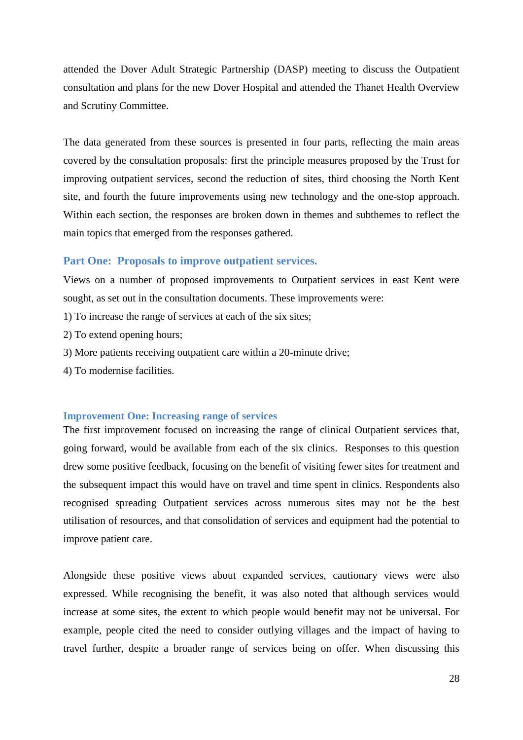attended the Dover Adult Strategic Partnership (DASP) meeting to discuss the Outpatient consultation and plans for the new Dover Hospital and attended the Thanet Health Overview and Scrutiny Committee.

The data generated from these sources is presented in four parts, reflecting the main areas covered by the consultation proposals: first the principle measures proposed by the Trust for improving outpatient services, second the reduction of sites, third choosing the North Kent site, and fourth the future improvements using new technology and the one-stop approach. Within each section, the responses are broken down in themes and subthemes to reflect the main topics that emerged from the responses gathered.

#### <span id="page-32-0"></span>**Part One: Proposals to improve outpatient services.**

Views on a number of proposed improvements to Outpatient services in east Kent were sought, as set out in the consultation documents. These improvements were:

- 1) To increase the range of services at each of the six sites;
- 2) To extend opening hours;
- 3) More patients receiving outpatient care within a 20-minute drive;
- 4) To modernise facilities.

#### **Improvement One: Increasing range of services**

The first improvement focused on increasing the range of clinical Outpatient services that, going forward, would be available from each of the six clinics. Responses to this question drew some positive feedback, focusing on the benefit of visiting fewer sites for treatment and the subsequent impact this would have on travel and time spent in clinics. Respondents also recognised spreading Outpatient services across numerous sites may not be the best utilisation of resources, and that consolidation of services and equipment had the potential to improve patient care.

Alongside these positive views about expanded services, cautionary views were also expressed. While recognising the benefit, it was also noted that although services would increase at some sites, the extent to which people would benefit may not be universal. For example, people cited the need to consider outlying villages and the impact of having to travel further, despite a broader range of services being on offer. When discussing this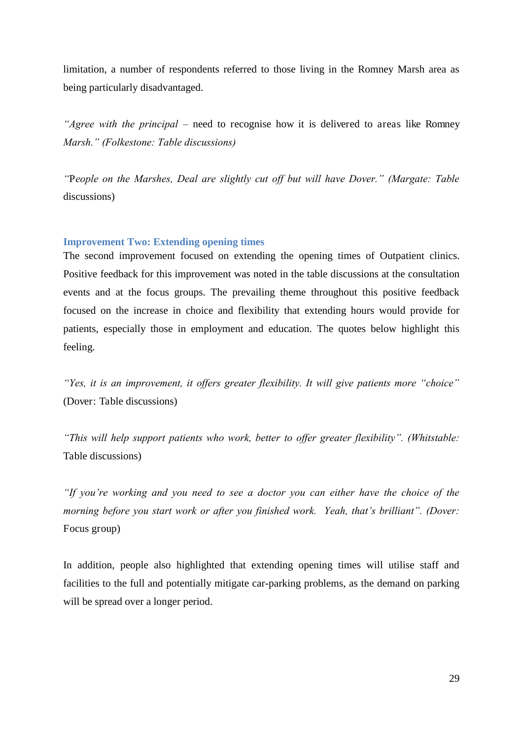limitation, a number of respondents referred to those living in the Romney Marsh area as being particularly disadvantaged.

*"Agree with the principal –* need to recognise how it is delivered to areas like Romney *Marsh." (Folkestone: Table discussions)*

*"*P*eople on the Marshes, Deal are slightly cut off but will have Dover." (Margate: Table*  discussions)

## **Improvement Two: Extending opening times**

The second improvement focused on extending the opening times of Outpatient clinics. Positive feedback for this improvement was noted in the table discussions at the consultation events and at the focus groups. The prevailing theme throughout this positive feedback focused on the increase in choice and flexibility that extending hours would provide for patients, especially those in employment and education. The quotes below highlight this feeling.

*"Yes, it is an improvement, it offers greater flexibility. It will give patients more "choice"*  (Dover: Table discussions)

*"This will help support patients who work, better to offer greater flexibility". (Whitstable:*  Table discussions)

*"If you're working and you need to see a doctor you can either have the choice of the morning before you start work or after you finished work. Yeah, that's brilliant". (Dover:*  Focus group)

In addition, people also highlighted that extending opening times will utilise staff and facilities to the full and potentially mitigate car-parking problems, as the demand on parking will be spread over a longer period.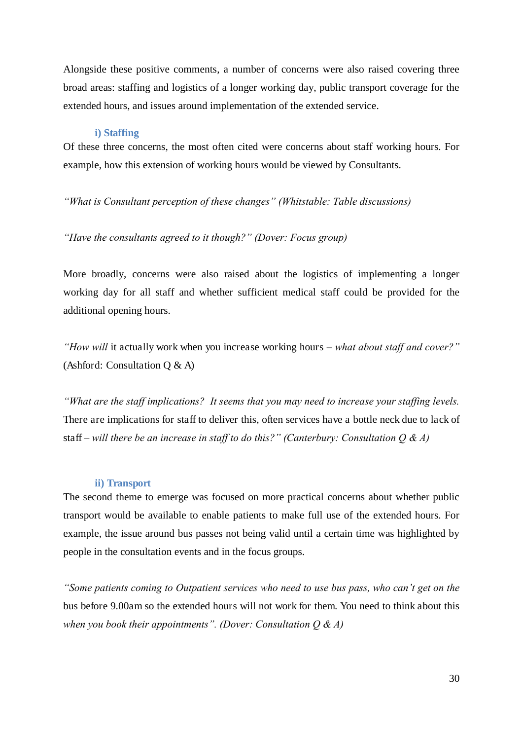Alongside these positive comments, a number of concerns were also raised covering three broad areas: staffing and logistics of a longer working day, public transport coverage for the extended hours, and issues around implementation of the extended service.

#### **i) Staffing**

Of these three concerns, the most often cited were concerns about staff working hours. For example, how this extension of working hours would be viewed by Consultants.

## *"What is Consultant perception of these changes" (Whitstable: Table discussions)*

## *"Have the consultants agreed to it though?" (Dover: Focus group)*

More broadly, concerns were also raised about the logistics of implementing a longer working day for all staff and whether sufficient medical staff could be provided for the additional opening hours.

*"How will* it actually work when you increase working hours *– what about staff and cover?"*  (Ashford: Consultation Q & A)

*"What are the staff implications? It seems that you may need to increase your staffing levels.*  There are implications for staff to deliver this, often services have a bottle neck due to lack of staff *– will there be an increase in staff to do this?" (Canterbury: Consultation Q & A)*

#### **ii) Transport**

The second theme to emerge was focused on more practical concerns about whether public transport would be available to enable patients to make full use of the extended hours. For example, the issue around bus passes not being valid until a certain time was highlighted by people in the consultation events and in the focus groups.

<span id="page-34-0"></span>*"Some patients coming to Outpatient services who need to use bus pass, who can't get on the*  bus before 9.00am so the extended hours will not work for them. You need to think about this *when you book their appointments". (Dover: Consultation Q & A)*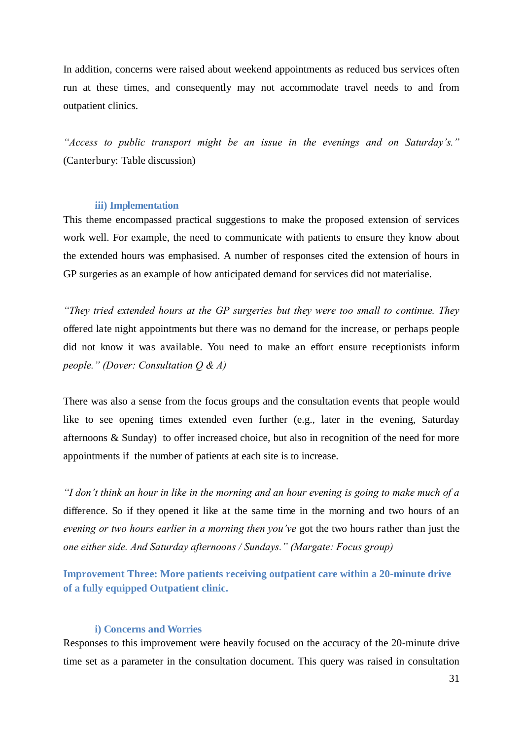In addition, concerns were raised about weekend appointments as reduced bus services often run at these times, and consequently may not accommodate travel needs to and from outpatient clinics.

*"Access to public transport might be an issue in the evenings and on Saturday's."*  (Canterbury: Table discussion)

#### **iii) Implementation**

This theme encompassed practical suggestions to make the proposed extension of services work well. For example, the need to communicate with patients to ensure they know about the extended hours was emphasised. A number of responses cited the extension of hours in GP surgeries as an example of how anticipated demand for services did not materialise.

*"They tried extended hours at the GP surgeries but they were too small to continue. They*  offered late night appointments but there was no demand for the increase, or perhaps people did not know it was available. You need to make an effort ensure receptionists inform *people." (Dover: Consultation Q & A)*

There was also a sense from the focus groups and the consultation events that people would like to see opening times extended even further (e.g., later in the evening, Saturday afternoons & Sunday) to offer increased choice, but also in recognition of the need for more appointments if the number of patients at each site is to increase.

*"I don't think an hour in like in the morning and an hour evening is going to make much of a*  difference. So if they opened it like at the same time in the morning and two hours of an *evening or two hours earlier in a morning then you've* got the two hours rather than just the *one either side. And Saturday afternoons / Sundays." (Margate: Focus group)*

**Improvement Three: More patients receiving outpatient care within a 20-minute drive of a fully equipped Outpatient clinic.** 

## **i) Concerns and Worries**

Responses to this improvement were heavily focused on the accuracy of the 20-minute drive time set as a parameter in the consultation document. This query was raised in consultation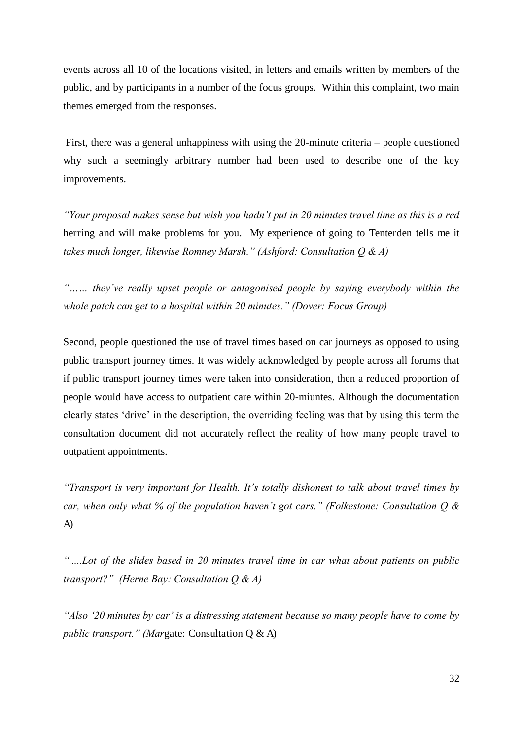events across all 10 of the locations visited, in letters and emails written by members of the public, and by participants in a number of the focus groups. Within this complaint, two main themes emerged from the responses.

 First, there was a general unhappiness with using the 20-minute criteria – people questioned why such a seemingly arbitrary number had been used to describe one of the key improvements.

*"Your proposal makes sense but wish you hadn't put in 20 minutes travel time as this is a red*  herring and will make problems for you. My experience of going to Tenterden tells me it *takes much longer, likewise Romney Marsh." (Ashford: Consultation Q & A)*

*"…… they've really upset people or antagonised people by saying everybody within the whole patch can get to a hospital within 20 minutes." (Dover: Focus Group)*

Second, people questioned the use of travel times based on car journeys as opposed to using public transport journey times. It was widely acknowledged by people across all forums that if public transport journey times were taken into consideration, then a reduced proportion of people would have access to outpatient care within 20-miuntes. Although the documentation clearly states 'drive' in the description, the overriding feeling was that by using this term the consultation document did not accurately reflect the reality of how many people travel to outpatient appointments.

*"Transport is very important for Health. It's totally dishonest to talk about travel times by car, when only what % of the population haven't got cars." (Folkestone: Consultation Q &*  A)

*".....Lot of the slides based in 20 minutes travel time in car what about patients on public transport?" (Herne Bay: Consultation Q & A)*

*"Also '20 minutes by car' is a distressing statement because so many people have to come by public transport." (Mar*gate: Consultation Q & A)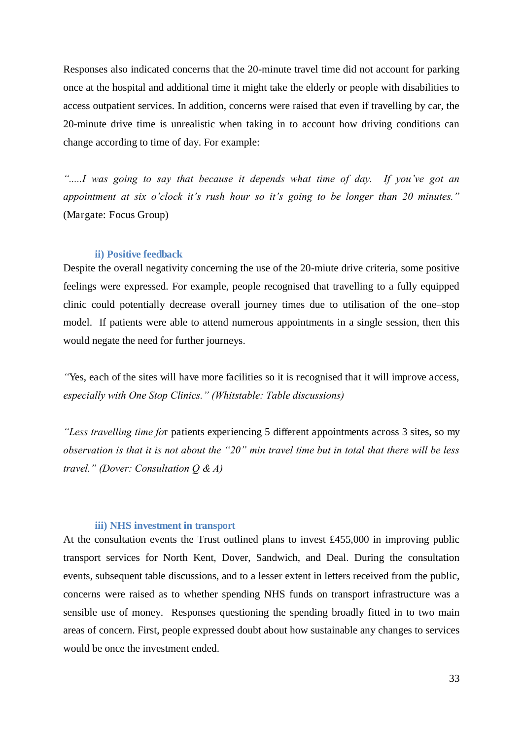Responses also indicated concerns that the 20-minute travel time did not account for parking once at the hospital and additional time it might take the elderly or people with disabilities to access outpatient services. In addition, concerns were raised that even if travelling by car, the 20-minute drive time is unrealistic when taking in to account how driving conditions can change according to time of day. For example:

*".....I was going to say that because it depends what time of day. If you've got an appointment at six o'clock it's rush hour so it's going to be longer than 20 minutes."*  (Margate: Focus Group)

#### **ii) Positive feedback**

<span id="page-37-0"></span>Despite the overall negativity concerning the use of the 20-miute drive criteria, some positive feelings were expressed. For example, people recognised that travelling to a fully equipped clinic could potentially decrease overall journey times due to utilisation of the one–stop model. If patients were able to attend numerous appointments in a single session, then this would negate the need for further journeys.

*"*Yes, each of the sites will have more facilities so it is recognised that it will improve access, *especially with One Stop Clinics." (Whitstable: Table discussions)*

*"Less travelling time fo*r patients experiencing 5 different appointments across 3 sites, so my *observation is that it is not about the "20" min travel time but in total that there will be less travel." (Dover: Consultation Q & A)*

#### **iii) NHS investment in transport**

At the consultation events the Trust outlined plans to invest £455,000 in improving public transport services for North Kent, Dover, Sandwich, and Deal. During the consultation events, subsequent table discussions, and to a lesser extent in letters received from the public, concerns were raised as to whether spending NHS funds on transport infrastructure was a sensible use of money. Responses questioning the spending broadly fitted in to two main areas of concern. First, people expressed doubt about how sustainable any changes to services would be once the investment ended.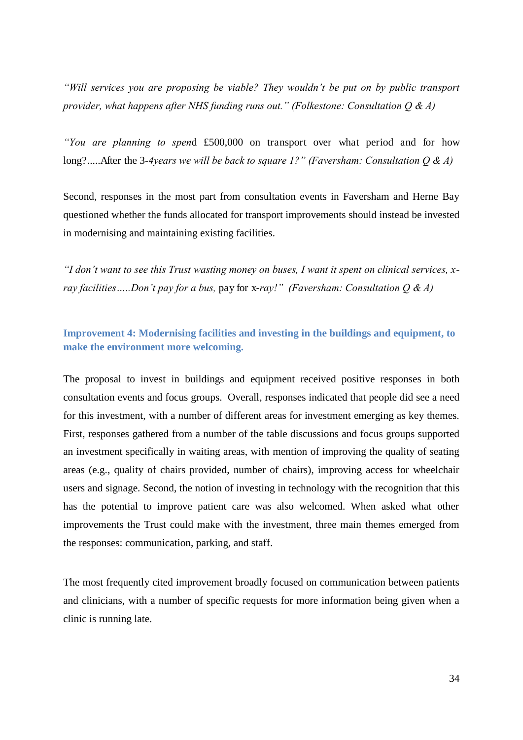*"Will services you are proposing be viable? They wouldn't be put on by public transport provider, what happens after NHS funding runs out." (Folkestone: Consultation Q & A)*

*"You are planning to spen*d £500,000 on transport over what period and for how long?.....After the 3-*4years we will be back to square 1?" (Faversham: Consultation Q & A)*

Second, responses in the most part from consultation events in Faversham and Herne Bay questioned whether the funds allocated for transport improvements should instead be invested in modernising and maintaining existing facilities.

*"I don't want to see this Trust wasting money on buses, I want it spent on clinical services, xray facilities…..Don't pay for a bus,* pay for x-*ray!" (Faversham: Consultation Q & A)*

## **Improvement 4: Modernising facilities and investing in the buildings and equipment, to make the environment more welcoming.**

The proposal to invest in buildings and equipment received positive responses in both consultation events and focus groups. Overall, responses indicated that people did see a need for this investment, with a number of different areas for investment emerging as key themes. First, responses gathered from a number of the table discussions and focus groups supported an investment specifically in waiting areas, with mention of improving the quality of seating areas (e.g., quality of chairs provided, number of chairs), improving access for wheelchair users and signage. Second, the notion of investing in technology with the recognition that this has the potential to improve patient care was also welcomed. When asked what other improvements the Trust could make with the investment, three main themes emerged from the responses: communication, parking, and staff.

<span id="page-38-1"></span><span id="page-38-0"></span>The most frequently cited improvement broadly focused on communication between patients and clinicians, with a number of specific requests for more information being given when a clinic is running late.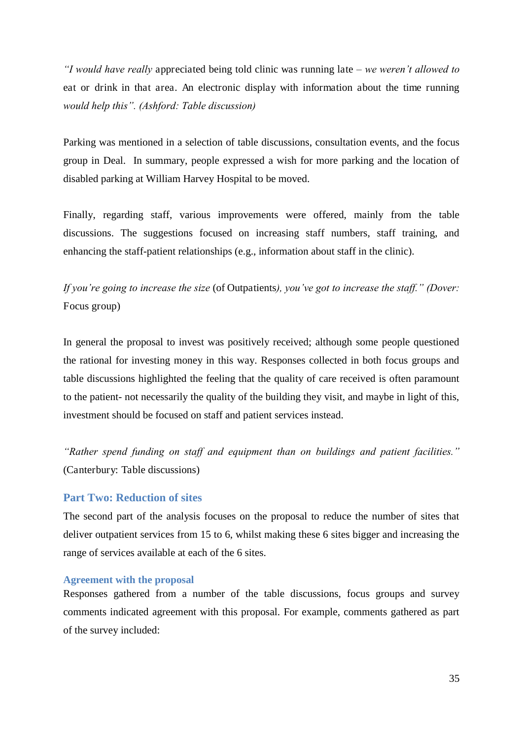*"I would have really* appreciated being told clinic was running late *– we weren't allowed to*  eat or drink in that area. An electronic display with information about the time running *would help this". (Ashford: Table discussion)*

Parking was mentioned in a selection of table discussions, consultation events, and the focus group in Deal. In summary, people expressed a wish for more parking and the location of disabled parking at William Harvey Hospital to be moved.

Finally, regarding staff, various improvements were offered, mainly from the table discussions. The suggestions focused on increasing staff numbers, staff training, and enhancing the staff-patient relationships (e.g., information about staff in the clinic).

*If you're going to increase the size* (of Outpatients*), you've got to increase the staff." (Dover:*  Focus group)

In general the proposal to invest was positively received; although some people questioned the rational for investing money in this way. Responses collected in both focus groups and table discussions highlighted the feeling that the quality of care received is often paramount to the patient- not necessarily the quality of the building they visit, and maybe in light of this, investment should be focused on staff and patient services instead.

*"Rather spend funding on staff and equipment than on buildings and patient facilities."*  (Canterbury: Table discussions)

## **Part Two: Reduction of sites**

The second part of the analysis focuses on the proposal to reduce the number of sites that deliver outpatient services from 15 to 6, whilst making these 6 sites bigger and increasing the range of services available at each of the 6 sites.

#### <span id="page-39-0"></span>**Agreement with the proposal**

Responses gathered from a number of the table discussions, focus groups and survey comments indicated agreement with this proposal. For example, comments gathered as part of the survey included: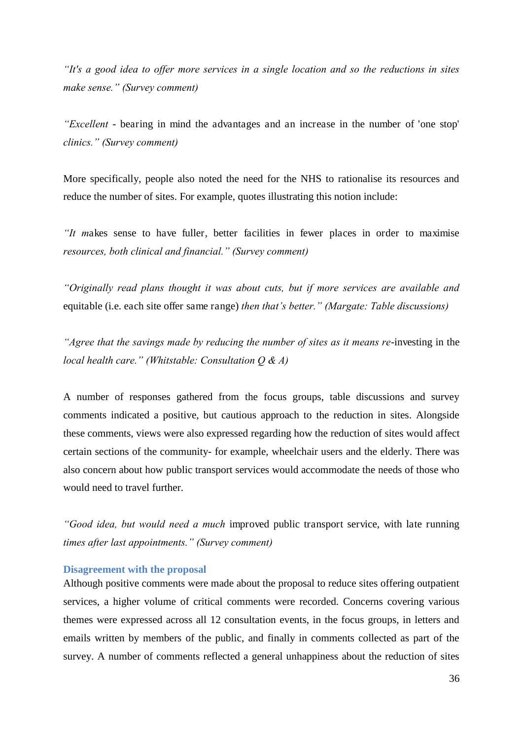*"It's a good idea to offer more services in a single location and so the reductions in sites make sense." (Survey comment)*

*"Excellent* - bearing in mind the advantages and an increase in the number of 'one stop' *clinics." (Survey comment)*

More specifically, people also noted the need for the NHS to rationalise its resources and reduce the number of sites. For example, quotes illustrating this notion include:

*"It m*akes sense to have fuller, better facilities in fewer places in order to maximise *resources, both clinical and financial." (Survey comment)*

*"Originally read plans thought it was about cuts, but if more services are available and*  equitable (i.e. each site offer same range) *then that's better." (Margate: Table discussions)*

*"Agree that the savings made by reducing the number of sites as it means re*-investing in the *local health care." (Whitstable: Consultation Q & A)*

A number of responses gathered from the focus groups, table discussions and survey comments indicated a positive, but cautious approach to the reduction in sites. Alongside these comments, views were also expressed regarding how the reduction of sites would affect certain sections of the community- for example, wheelchair users and the elderly. There was also concern about how public transport services would accommodate the needs of those who would need to travel further.

*"Good idea, but would need a much* improved public transport service, with late running *times after last appointments." (Survey comment)*

#### **Disagreement with the proposal**

Although positive comments were made about the proposal to reduce sites offering outpatient services, a higher volume of critical comments were recorded. Concerns covering various themes were expressed across all 12 consultation events, in the focus groups, in letters and emails written by members of the public, and finally in comments collected as part of the survey. A number of comments reflected a general unhappiness about the reduction of sites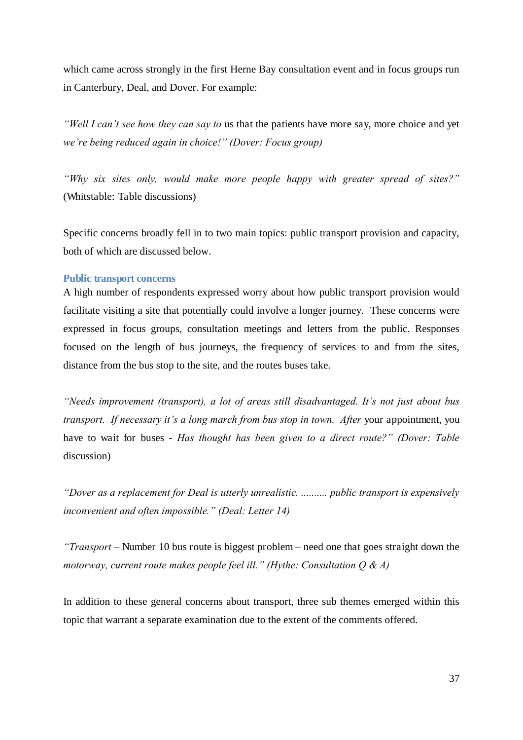which came across strongly in the first Herne Bay consultation event and in focus groups run in Canterbury, Deal, and Dover. For example:

*"Well I can't see how they can say to* us that the patients have more say, more choice and yet *we're being reduced again in choice!" (Dover: Focus group)*

*"Why six sites only, would make more people happy with greater spread of sites?"*  (Whitstable: Table discussions)

Specific concerns broadly fell in to two main topics: public transport provision and capacity, both of which are discussed below.

#### **Public transport concerns**

A high number of respondents expressed worry about how public transport provision would facilitate visiting a site that potentially could involve a longer journey. These concerns were expressed in focus groups, consultation meetings and letters from the public. Responses focused on the length of bus journeys, the frequency of services to and from the sites, distance from the bus stop to the site, and the routes buses take.

*"Needs improvement (transport), a lot of areas still disadvantaged. It's not just about bus transport. If necessary it's a long march from bus stop in town. After* your appointment, you have to wait for buses - *Has thought has been given to a direct route?" (Dover: Table*  discussion)

*"Dover as a replacement for Deal is utterly unrealistic. .......... public transport is expensively inconvenient and often impossible." (Deal: Letter 14)*

*"Transport –* Number 10 bus route is biggest problem *–* need one that goes straight down the *motorway, current route makes people feel ill." (Hythe: Consultation Q & A)*

In addition to these general concerns about transport, three sub themes emerged within this topic that warrant a separate examination due to the extent of the comments offered.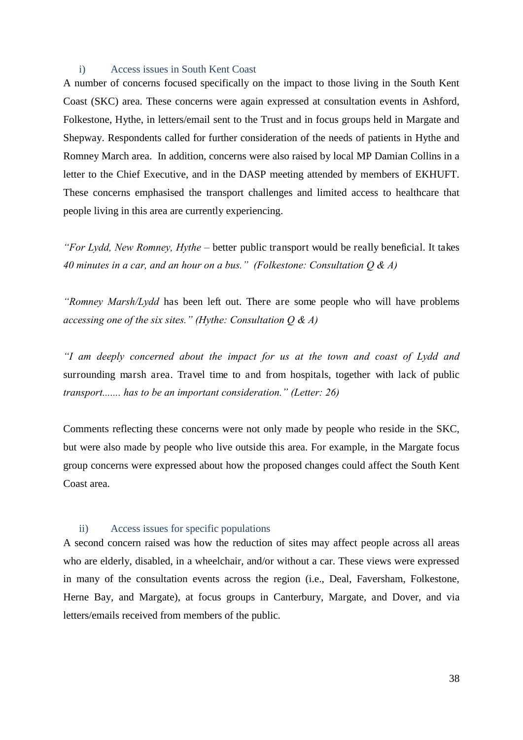#### i) Access issues in South Kent Coast

A number of concerns focused specifically on the impact to those living in the South Kent Coast (SKC) area. These concerns were again expressed at consultation events in Ashford, Folkestone, Hythe, in letters/email sent to the Trust and in focus groups held in Margate and Shepway. Respondents called for further consideration of the needs of patients in Hythe and Romney March area. In addition, concerns were also raised by local MP Damian Collins in a letter to the Chief Executive, and in the DASP meeting attended by members of EKHUFT. These concerns emphasised the transport challenges and limited access to healthcare that people living in this area are currently experiencing.

*"For Lydd, New Romney, Hythe –* better public transport would be really beneficial. It takes *40 minutes in a car, and an hour on a bus." (Folkestone: Consultation Q & A)*

*"Romney Marsh/Lydd* has been left out. There are some people who will have problems *accessing one of the six sites." (Hythe: Consultation Q & A)*

*"I am deeply concerned about the impact for us at the town and coast of Lydd and*  surrounding marsh area. Travel time to and from hospitals, together with lack of public *transport....... has to be an important consideration." (Letter: 26)*

Comments reflecting these concerns were not only made by people who reside in the SKC, but were also made by people who live outside this area. For example, in the Margate focus group concerns were expressed about how the proposed changes could affect the South Kent Coast area.

#### ii) Access issues for specific populations

A second concern raised was how the reduction of sites may affect people across all areas who are elderly, disabled, in a wheelchair, and/or without a car. These views were expressed in many of the consultation events across the region (i.e., Deal, Faversham, Folkestone, Herne Bay, and Margate), at focus groups in Canterbury, Margate, and Dover, and via letters/emails received from members of the public.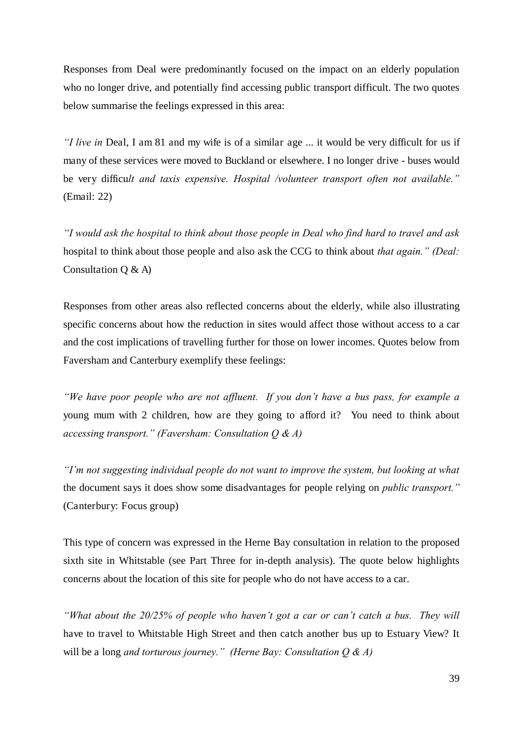Responses from Deal were predominantly focused on the impact on an elderly population who no longer drive, and potentially find accessing public transport difficult. The two quotes below summarise the feelings expressed in this area:

*"I live in* Deal, I am 81 and my wife is of a similar age ... it would be very difficult for us if many of these services were moved to Buckland or elsewhere. I no longer drive - buses would be very difficu*lt and taxis expensive. Hospital /volunteer transport often not available."*  (Email: 22)

*"I would ask the hospital to think about those people in Deal who find hard to travel and ask*  hospital to think about those people and also ask the CCG to think about *that again." (Deal:*  Consultation Q & A)

Responses from other areas also reflected concerns about the elderly, while also illustrating specific concerns about how the reduction in sites would affect those without access to a car and the cost implications of travelling further for those on lower incomes. Quotes below from Faversham and Canterbury exemplify these feelings:

*"We have poor people who are not affluent. If you don't have a bus pass, for example a*  young mum with 2 children, how are they going to afford it? You need to think about *accessing transport." (Faversham: Consultation Q & A)*

*"I'm not suggesting individual people do not want to improve the system, but looking at what*  the document says it does show some disadvantages for people relying on *public transport."*  (Canterbury: Focus group)

<span id="page-43-0"></span>This type of concern was expressed in the Herne Bay consultation in relation to the proposed sixth site in Whitstable (see Part Three for in-depth analysis). The quote below highlights concerns about the location of this site for people who do not have access to a car.

*"What about the 20/25% of people who haven't got a car or can't catch a bus. They will*  have to travel to Whitstable High Street and then catch another bus up to Estuary View? It will be a long *and torturous journey." (Herne Bay: Consultation Q & A)*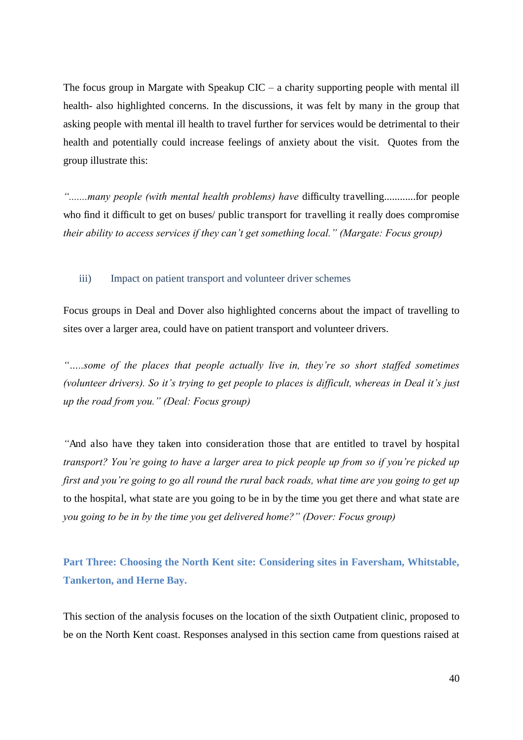<span id="page-44-0"></span>The focus group in Margate with Speakup  $CIC - a$  charity supporting people with mental ill health- also highlighted concerns. In the discussions, it was felt by many in the group that asking people with mental ill health to travel further for services would be detrimental to their health and potentially could increase feelings of anxiety about the visit. Quotes from the group illustrate this:

*".......many people (with mental health problems) have* difficulty travelling............for people who find it difficult to get on buses/ public transport for travelling it really does compromise *their ability to access services if they can't get something local." (Margate: Focus group)*

#### iii) Impact on patient transport and volunteer driver schemes

Focus groups in Deal and Dover also highlighted concerns about the impact of travelling to sites over a larger area, could have on patient transport and volunteer drivers.

*"…..some of the places that people actually live in, they're so short staffed sometimes (volunteer drivers). So it's trying to get people to places is difficult, whereas in Deal it's just up the road from you." (Deal: Focus group)*

*"*And also have they taken into consideration those that are entitled to travel by hospital *transport? You're going to have a larger area to pick people up from so if you're picked up first and you're going to go all round the rural back roads, what time are you going to get up*  to the hospital, what state are you going to be in by the time you get there and what state are *you going to be in by the time you get delivered home?" (Dover: Focus group)*

**Part Three: Choosing the North Kent site: Considering sites in Faversham, Whitstable, Tankerton, and Herne Bay.** 

This section of the analysis focuses on the location of the sixth Outpatient clinic, proposed to be on the North Kent coast. Responses analysed in this section came from questions raised at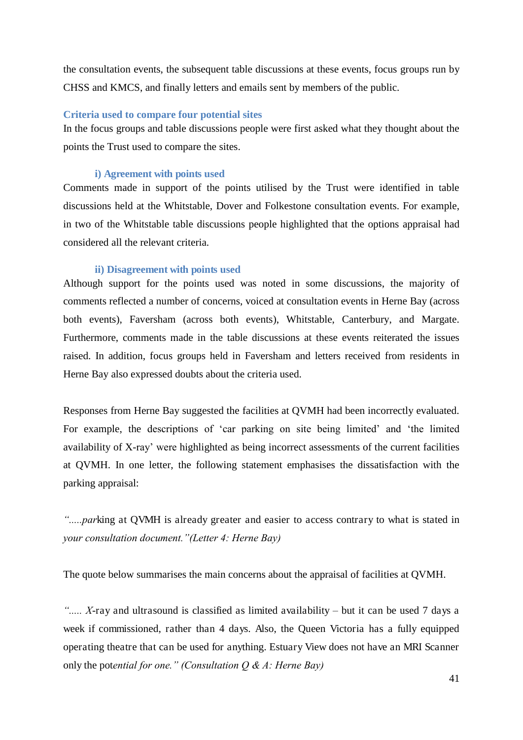the consultation events, the subsequent table discussions at these events, focus groups run by CHSS and KMCS, and finally letters and emails sent by members of the public.

## **Criteria used to compare four potential sites**

In the focus groups and table discussions people were first asked what they thought about the points the Trust used to compare the sites.

#### **i) Agreement with points used**

Comments made in support of the points utilised by the Trust were identified in table discussions held at the Whitstable, Dover and Folkestone consultation events. For example, in two of the Whitstable table discussions people highlighted that the options appraisal had considered all the relevant criteria.

#### **ii) Disagreement with points used**

Although support for the points used was noted in some discussions, the majority of comments reflected a number of concerns, voiced at consultation events in Herne Bay (across both events), Faversham (across both events), Whitstable, Canterbury, and Margate. Furthermore, comments made in the table discussions at these events reiterated the issues raised. In addition, focus groups held in Faversham and letters received from residents in Herne Bay also expressed doubts about the criteria used.

Responses from Herne Bay suggested the facilities at QVMH had been incorrectly evaluated. For example, the descriptions of 'car parking on site being limited' and 'the limited availability of X-ray' were highlighted as being incorrect assessments of the current facilities at QVMH. In one letter, the following statement emphasises the dissatisfaction with the parking appraisal:

*".....par*king at QVMH is already greater and easier to access contrary to what is stated in *your consultation document."(Letter 4: Herne Bay)*

The quote below summarises the main concerns about the appraisal of facilities at QVMH.

*"..... X*-ray and ultrasound is classified as limited availability *–* but it can be used 7 days a week if commissioned, rather than 4 days. Also, the Queen Victoria has a fully equipped operating theatre that can be used for anything. Estuary View does not have an MRI Scanner only the pot*ential for one." (Consultation Q & A: Herne Bay)*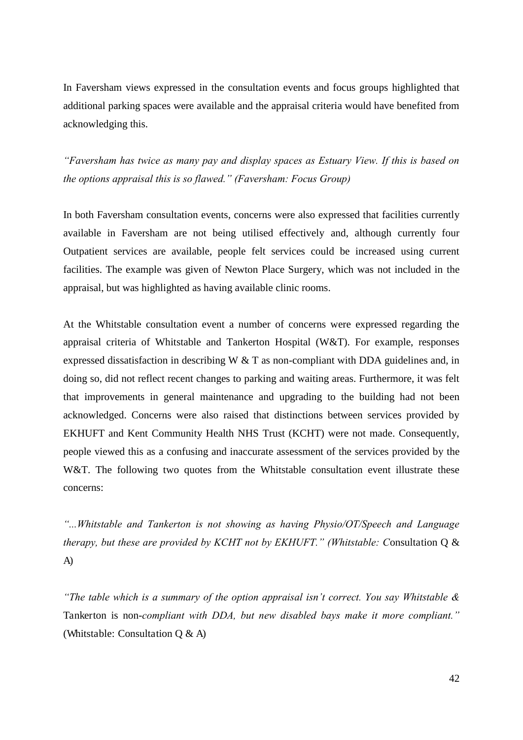<span id="page-46-0"></span>In Faversham views expressed in the consultation events and focus groups highlighted that additional parking spaces were available and the appraisal criteria would have benefited from acknowledging this.

*"Faversham has twice as many pay and display spaces as Estuary View. If this is based on the options appraisal this is so flawed." (Faversham: Focus Group)*

In both Faversham consultation events, concerns were also expressed that facilities currently available in Faversham are not being utilised effectively and, although currently four Outpatient services are available, people felt services could be increased using current facilities. The example was given of Newton Place Surgery, which was not included in the appraisal, but was highlighted as having available clinic rooms.

At the Whitstable consultation event a number of concerns were expressed regarding the appraisal criteria of Whitstable and Tankerton Hospital (W&T). For example, responses expressed dissatisfaction in describing W  $&$  T as non-compliant with DDA guidelines and, in doing so, did not reflect recent changes to parking and waiting areas. Furthermore, it was felt that improvements in general maintenance and upgrading to the building had not been acknowledged. Concerns were also raised that distinctions between services provided by EKHUFT and Kent Community Health NHS Trust (KCHT) were not made. Consequently, people viewed this as a confusing and inaccurate assessment of the services provided by the W&T. The following two quotes from the Whitstable consultation event illustrate these concerns:

*"...Whitstable and Tankerton is not showing as having Physio/OT/Speech and Language therapy, but these are provided by KCHT not by EKHUFT." (Whitstable: C*onsultation Q & A)

*"The table which is a summary of the option appraisal isn't correct. You say Whitstable &*  Tankerton is non-*compliant with DDA, but new disabled bays make it more compliant."*  (Whitstable: Consultation Q & A)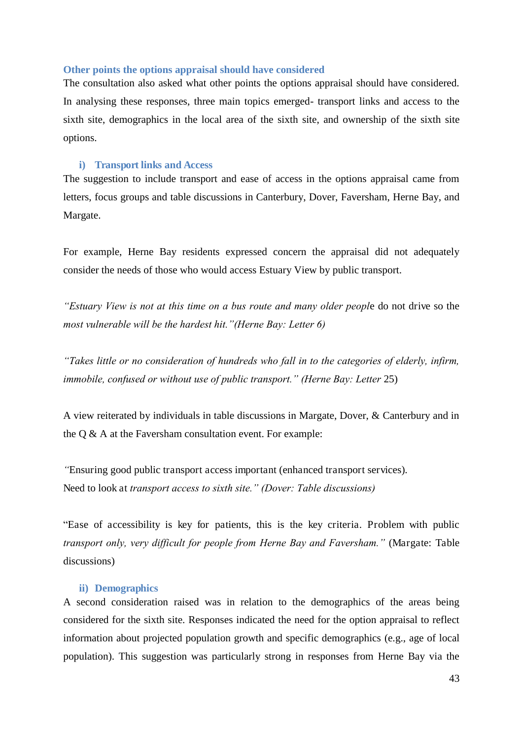#### **Other points the options appraisal should have considered**

The consultation also asked what other points the options appraisal should have considered. In analysing these responses, three main topics emerged- transport links and access to the sixth site, demographics in the local area of the sixth site, and ownership of the sixth site options.

## **i) Transport links and Access**

The suggestion to include transport and ease of access in the options appraisal came from letters, focus groups and table discussions in Canterbury, Dover, Faversham, Herne Bay, and Margate.

For example, Herne Bay residents expressed concern the appraisal did not adequately consider the needs of those who would access Estuary View by public transport.

*"Estuary View is not at this time on a bus route and many older peopl*e do not drive so the *most vulnerable will be the hardest hit."(Herne Bay: Letter 6)*

*"Takes little or no consideration of hundreds who fall in to the categories of elderly, infirm, immobile, confused or without use of public transport." (Herne Bay: Letter* 25)

A view reiterated by individuals in table discussions in Margate, Dover, & Canterbury and in the Q & A at the Faversham consultation event. For example:

*"*Ensuring good public transport access important (enhanced transport services). Need to look at *transport access to sixth site." (Dover: Table discussions)*

"Ease of accessibility is key for patients, this is the key criteria. Problem with public *transport only, very difficult for people from Herne Bay and Faversham."* (Margate: Table discussions)

#### **ii) Demographics**

A second consideration raised was in relation to the demographics of the areas being considered for the sixth site. Responses indicated the need for the option appraisal to reflect information about projected population growth and specific demographics (e.g., age of local population). This suggestion was particularly strong in responses from Herne Bay via the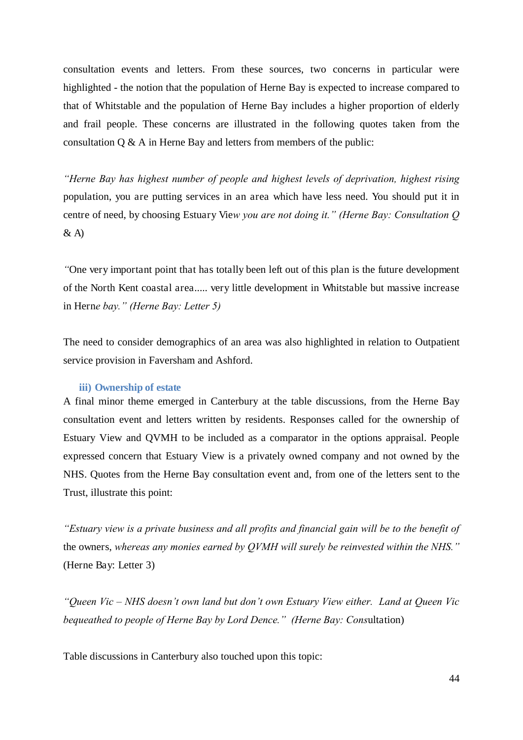consultation events and letters. From these sources, two concerns in particular were highlighted - the notion that the population of Herne Bay is expected to increase compared to that of Whitstable and the population of Herne Bay includes a higher proportion of elderly and frail people. These concerns are illustrated in the following quotes taken from the consultation Q & A in Herne Bay and letters from members of the public:

*"Herne Bay has highest number of people and highest levels of deprivation, highest rising*  population, you are putting services in an area which have less need. You should put it in centre of need, by choosing Estuary Vie*w you are not doing it." (Herne Bay: Consultation Q*   $\&$  A)

*"*One very important point that has totally been left out of this plan is the future development of the North Kent coastal area..... very little development in Whitstable but massive increase in Hern*e bay." (Herne Bay: Letter 5)*

<span id="page-48-0"></span>The need to consider demographics of an area was also highlighted in relation to Outpatient service provision in Faversham and Ashford.

#### **iii) Ownership of estate**

<span id="page-48-1"></span>A final minor theme emerged in Canterbury at the table discussions, from the Herne Bay consultation event and letters written by residents. Responses called for the ownership of Estuary View and QVMH to be included as a comparator in the options appraisal. People expressed concern that Estuary View is a privately owned company and not owned by the NHS. Quotes from the Herne Bay consultation event and, from one of the letters sent to the Trust, illustrate this point:

*"Estuary view is a private business and all profits and financial gain will be to the benefit of*  the owners, *whereas any monies earned by QVMH will surely be reinvested within the NHS."*  (Herne Bay: Letter 3)

*"Queen Vic – NHS doesn't own land but don't own Estuary View either. Land at Queen Vic bequeathed to people of Herne Bay by Lord Dence." (Herne Bay: Cons*ultation)

Table discussions in Canterbury also touched upon this topic: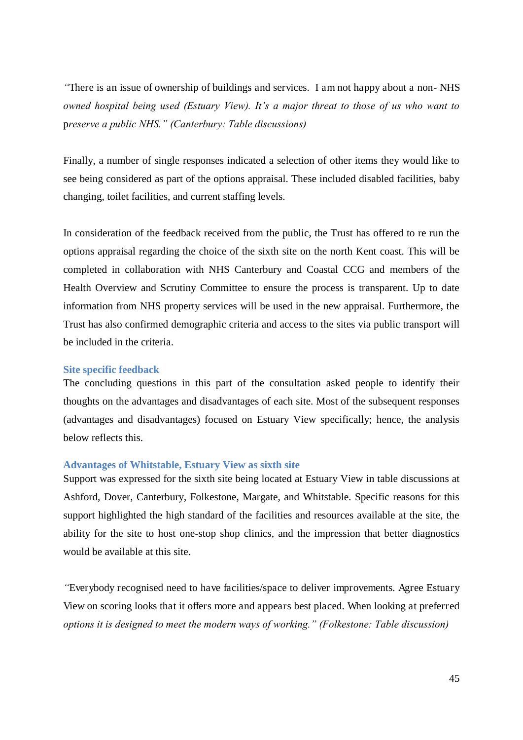<span id="page-49-0"></span>*"*There is an issue of ownership of buildings and services. I am not happy about a non- NHS *owned hospital being used (Estuary View). It's a major threat to those of us who want to*  p*reserve a public NHS." (Canterbury: Table discussions)*

Finally, a number of single responses indicated a selection of other items they would like to see being considered as part of the options appraisal. These included disabled facilities, baby changing, toilet facilities, and current staffing levels.

In consideration of the feedback received from the public, the Trust has offered to re run the options appraisal regarding the choice of the sixth site on the north Kent coast. This will be completed in collaboration with NHS Canterbury and Coastal CCG and members of the Health Overview and Scrutiny Committee to ensure the process is transparent. Up to date information from NHS property services will be used in the new appraisal. Furthermore, the Trust has also confirmed demographic criteria and access to the sites via public transport will be included in the criteria.

#### **Site specific feedback**

The concluding questions in this part of the consultation asked people to identify their thoughts on the advantages and disadvantages of each site. Most of the subsequent responses (advantages and disadvantages) focused on Estuary View specifically; hence, the analysis below reflects this.

#### **Advantages of Whitstable, Estuary View as sixth site**

Support was expressed for the sixth site being located at Estuary View in table discussions at Ashford, Dover, Canterbury, Folkestone, Margate, and Whitstable. Specific reasons for this support highlighted the high standard of the facilities and resources available at the site, the ability for the site to host one-stop shop clinics, and the impression that better diagnostics would be available at this site.

*"*Everybody recognised need to have facilities/space to deliver improvements. Agree Estuary View on scoring looks that it offers more and appears best placed. When looking at preferred *options it is designed to meet the modern ways of working." (Folkestone: Table discussion)*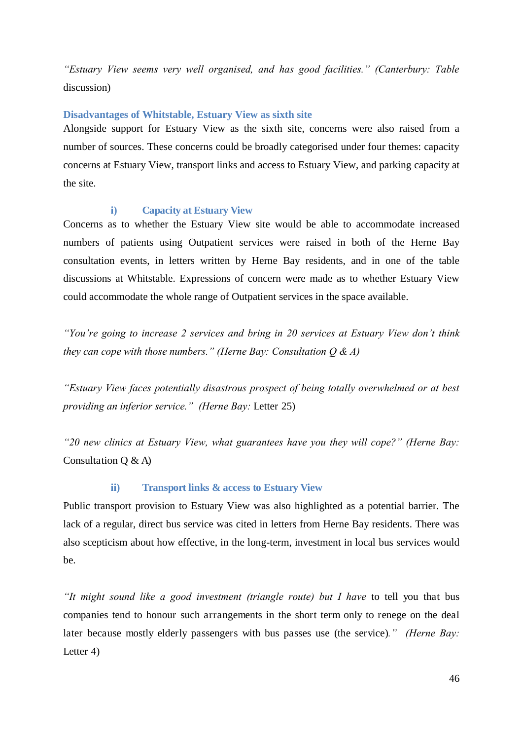*"Estuary View seems very well organised, and has good facilities." (Canterbury: Table*  discussion)

## **Disadvantages of Whitstable, Estuary View as sixth site**

Alongside support for Estuary View as the sixth site, concerns were also raised from a number of sources. These concerns could be broadly categorised under four themes: capacity concerns at Estuary View, transport links and access to Estuary View, and parking capacity at the site.

## **i) Capacity at Estuary View**

Concerns as to whether the Estuary View site would be able to accommodate increased numbers of patients using Outpatient services were raised in both of the Herne Bay consultation events, in letters written by Herne Bay residents, and in one of the table discussions at Whitstable. Expressions of concern were made as to whether Estuary View could accommodate the whole range of Outpatient services in the space available.

*"You're going to increase 2 services and bring in 20 services at Estuary View don't think they can cope with those numbers." (Herne Bay: Consultation Q & A)*

*"Estuary View faces potentially disastrous prospect of being totally overwhelmed or at best providing an inferior service." (Herne Bay:* Letter 25)

*"20 new clinics at Estuary View, what guarantees have you they will cope?" (Herne Bay:*  Consultation  $Q \& A$ )

#### **ii) Transport links & access to Estuary View**

Public transport provision to Estuary View was also highlighted as a potential barrier. The lack of a regular, direct bus service was cited in letters from Herne Bay residents. There was also scepticism about how effective, in the long-term, investment in local bus services would be.

*"It might sound like a good investment (triangle route) but I have* to tell you that bus companies tend to honour such arrangements in the short term only to renege on the deal later because mostly elderly passengers with bus passes use (the service)*." (Herne Bay:*  Letter 4)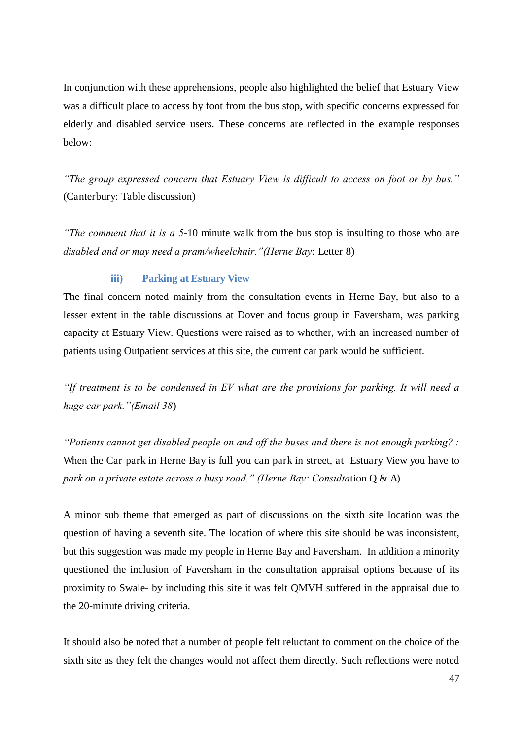In conjunction with these apprehensions, people also highlighted the belief that Estuary View was a difficult place to access by foot from the bus stop, with specific concerns expressed for elderly and disabled service users. These concerns are reflected in the example responses below:

<span id="page-51-0"></span>*"The group expressed concern that Estuary View is difficult to access on foot or by bus."*  (Canterbury: Table discussion)

*"The comment that it is a 5*-10 minute walk from the bus stop is insulting to those who are *disabled and or may need a pram/wheelchair."(Herne Bay*: Letter 8)

#### **iii) Parking at Estuary View**

The final concern noted mainly from the consultation events in Herne Bay, but also to a lesser extent in the table discussions at Dover and focus group in Faversham, was parking capacity at Estuary View. Questions were raised as to whether, with an increased number of patients using Outpatient services at this site, the current car park would be sufficient.

*"If treatment is to be condensed in EV what are the provisions for parking. It will need a huge car park."(Email 38*)

*"Patients cannot get disabled people on and off the buses and there is not enough parking? :*  When the Car park in Herne Bay is full you can park in street, at Estuary View you have to *park on a private estate across a busy road." (Herne Bay: Consulta*tion Q & A)

A minor sub theme that emerged as part of discussions on the sixth site location was the question of having a seventh site. The location of where this site should be was inconsistent, but this suggestion was made my people in Herne Bay and Faversham. In addition a minority questioned the inclusion of Faversham in the consultation appraisal options because of its proximity to Swale- by including this site it was felt QMVH suffered in the appraisal due to the 20-minute driving criteria.

It should also be noted that a number of people felt reluctant to comment on the choice of the sixth site as they felt the changes would not affect them directly. Such reflections were noted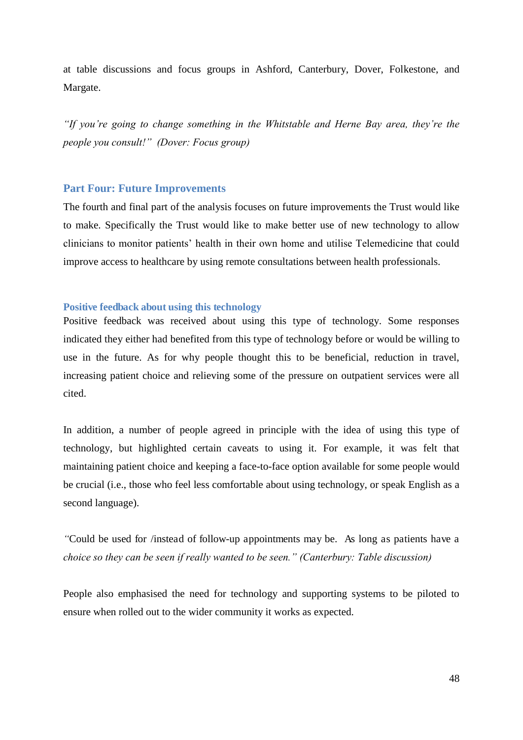at table discussions and focus groups in Ashford, Canterbury, Dover, Folkestone, and Margate.

*"If you're going to change something in the Whitstable and Herne Bay area, they're the people you consult!" (Dover: Focus group)*

## **Part Four: Future Improvements**

<span id="page-52-0"></span>The fourth and final part of the analysis focuses on future improvements the Trust would like to make. Specifically the Trust would like to make better use of new technology to allow clinicians to monitor patients' health in their own home and utilise Telemedicine that could improve access to healthcare by using remote consultations between health professionals.

## **Positive feedback about using this technology**

Positive feedback was received about using this type of technology. Some responses indicated they either had benefited from this type of technology before or would be willing to use in the future. As for why people thought this to be beneficial, reduction in travel, increasing patient choice and relieving some of the pressure on outpatient services were all cited.

In addition, a number of people agreed in principle with the idea of using this type of technology, but highlighted certain caveats to using it. For example, it was felt that maintaining patient choice and keeping a face-to-face option available for some people would be crucial (i.e., those who feel less comfortable about using technology, or speak English as a second language).

*"*Could be used for /instead of follow-up appointments may be. As long as patients have a *choice so they can be seen if really wanted to be seen." (Canterbury: Table discussion)*

People also emphasised the need for technology and supporting systems to be piloted to ensure when rolled out to the wider community it works as expected.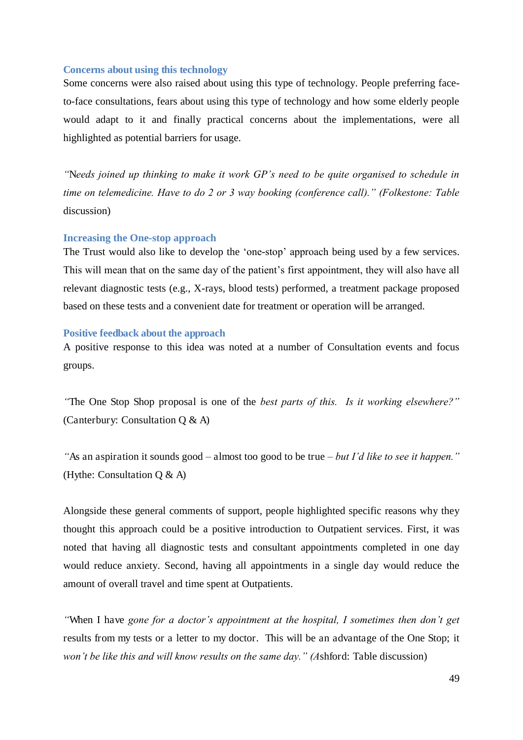#### **Concerns about using this technology**

Some concerns were also raised about using this type of technology. People preferring faceto-face consultations, fears about using this type of technology and how some elderly people would adapt to it and finally practical concerns about the implementations, were all highlighted as potential barriers for usage.

*"*N*eeds joined up thinking to make it work GP's need to be quite organised to schedule in time on telemedicine. Have to do 2 or 3 way booking (conference call)." (Folkestone: Table*  discussion)

## **Increasing the One-stop approach**

The Trust would also like to develop the 'one-stop' approach being used by a few services. This will mean that on the same day of the patient's first appointment, they will also have all relevant diagnostic tests (e.g., X-rays, blood tests) performed, a treatment package proposed based on these tests and a convenient date for treatment or operation will be arranged.

#### **Positive feedback about the approach**

A positive response to this idea was noted at a number of Consultation events and focus groups.

*"*The One Stop Shop proposal is one of the *best parts of this. Is it working elsewhere?"*  (Canterbury: Consultation Q & A)

*"*As an aspiration it sounds good *–* almost too good to be true *– but I'd like to see it happen."*  (Hythe: Consultation Q & A)

Alongside these general comments of support, people highlighted specific reasons why they thought this approach could be a positive introduction to Outpatient services. First, it was noted that having all diagnostic tests and consultant appointments completed in one day would reduce anxiety. Second, having all appointments in a single day would reduce the amount of overall travel and time spent at Outpatients.

*"*When I have *gone for a doctor's appointment at the hospital, I sometimes then don't get*  results from my tests or a letter to my doctor. This will be an advantage of the One Stop; it *won't be like this and will know results on the same day." (A*shford: Table discussion)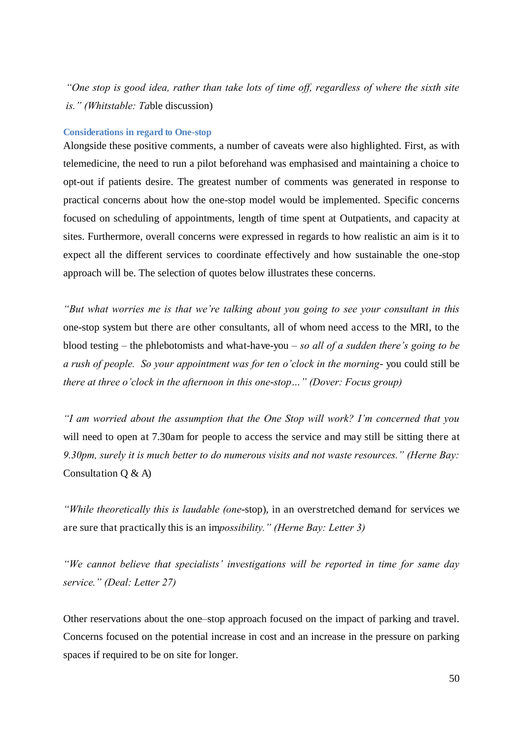*"One stop is good idea, rather than take lots of time off, regardless of where the sixth site is." (Whitstable: Ta*ble discussion)

#### **Considerations in regard to One-stop**

Alongside these positive comments, a number of caveats were also highlighted. First, as with telemedicine, the need to run a pilot beforehand was emphasised and maintaining a choice to opt-out if patients desire. The greatest number of comments was generated in response to practical concerns about how the one-stop model would be implemented. Specific concerns focused on scheduling of appointments, length of time spent at Outpatients, and capacity at sites. Furthermore, overall concerns were expressed in regards to how realistic an aim is it to expect all the different services to coordinate effectively and how sustainable the one-stop approach will be. The selection of quotes below illustrates these concerns.

*"But what worries me is that we're talking about you going to see your consultant in this*  one-stop system but there are other consultants, all of whom need access to the MRI, to the blood testing *–* the phlebotomists and what-have-you *– so all of a sudden there's going to be a rush of people. So your appointment was for ten o'clock in the morning*- you could still be *there at three o'clock in the afternoon in this one*-*stop…" (Dover: Focus group)*

*"I am worried about the assumption that the One Stop will work? I'm concerned that you*  will need to open at 7.30am for people to access the service and may still be sitting there at *9.30pm, surely it is much better to do numerous visits and not waste resources." (Herne Bay:*  Consultation  $Q \& A$ )

<span id="page-54-0"></span>*"While theoretically this is laudable (one*-stop), in an overstretched demand for services we are sure that practically this is an im*possibility." (Herne Bay: Letter 3)*

*"We cannot believe that specialists' investigations will be reported in time for same day service." (Deal: Letter 27)*

Other reservations about the one–stop approach focused on the impact of parking and travel. Concerns focused on the potential increase in cost and an increase in the pressure on parking spaces if required to be on site for longer.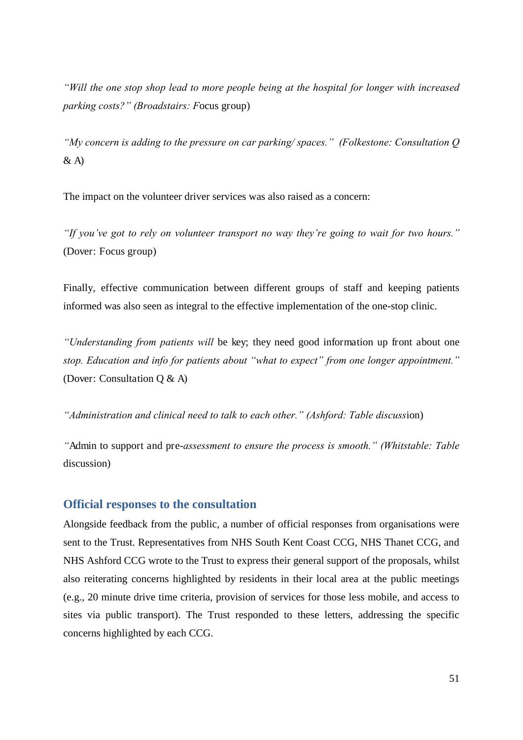*"Will the one stop shop lead to more people being at the hospital for longer with increased parking costs?" (Broadstairs: F*ocus group)

*"My concern is adding to the pressure on car parking/ spaces." (Folkestone: Consultation Q*   $\&$  A)

The impact on the volunteer driver services was also raised as a concern:

*"If you've got to rely on volunteer transport no way they're going to wait for two hours."*  (Dover: Focus group)

Finally, effective communication between different groups of staff and keeping patients informed was also seen as integral to the effective implementation of the one-stop clinic.

*"Understanding from patients will* be key; they need good information up front about one *stop. Education and info for patients about "what to expect" from one longer appointment."*  (Dover: Consultation Q & A)

*"Administration and clinical need to talk to each other." (Ashford: Table discuss*ion)

*"*Admin to support and pre-*assessment to ensure the process is smooth." (Whitstable: Table*  discussion)

## <span id="page-55-0"></span>**Official responses to the consultation**

Alongside feedback from the public, a number of official responses from organisations were sent to the Trust. Representatives from NHS South Kent Coast CCG, NHS Thanet CCG, and NHS Ashford CCG wrote to the Trust to express their general support of the proposals, whilst also reiterating concerns highlighted by residents in their local area at the public meetings (e.g., 20 minute drive time criteria, provision of services for those less mobile, and access to sites via public transport). The Trust responded to these letters, addressing the specific concerns highlighted by each CCG.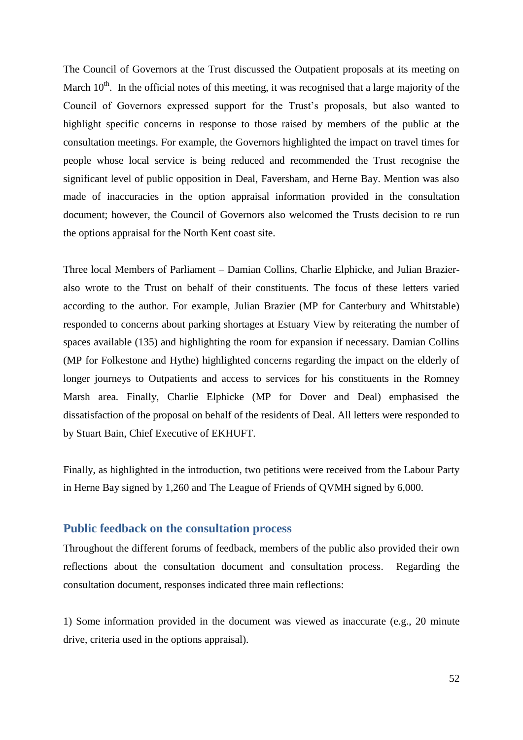The Council of Governors at the Trust discussed the Outpatient proposals at its meeting on March  $10<sup>th</sup>$ . In the official notes of this meeting, it was recognised that a large majority of the Council of Governors expressed support for the Trust's proposals, but also wanted to highlight specific concerns in response to those raised by members of the public at the consultation meetings. For example, the Governors highlighted the impact on travel times for people whose local service is being reduced and recommended the Trust recognise the significant level of public opposition in Deal, Faversham, and Herne Bay. Mention was also made of inaccuracies in the option appraisal information provided in the consultation document; however, the Council of Governors also welcomed the Trusts decision to re run the options appraisal for the North Kent coast site.

Three local Members of Parliament – Damian Collins, Charlie Elphicke, and Julian Brazieralso wrote to the Trust on behalf of their constituents. The focus of these letters varied according to the author. For example, Julian Brazier (MP for Canterbury and Whitstable) responded to concerns about parking shortages at Estuary View by reiterating the number of spaces available (135) and highlighting the room for expansion if necessary. Damian Collins (MP for Folkestone and Hythe) highlighted concerns regarding the impact on the elderly of longer journeys to Outpatients and access to services for his constituents in the Romney Marsh area. Finally, Charlie Elphicke (MP for Dover and Deal) emphasised the dissatisfaction of the proposal on behalf of the residents of Deal. All letters were responded to by Stuart Bain, Chief Executive of EKHUFT.

Finally, as highlighted in the introduction, two petitions were received from the Labour Party in Herne Bay signed by 1,260 and The League of Friends of QVMH signed by 6,000.

## **Public feedback on the consultation process**

Throughout the different forums of feedback, members of the public also provided their own reflections about the consultation document and consultation process. Regarding the consultation document, responses indicated three main reflections:

1) Some information provided in the document was viewed as inaccurate (e.g., 20 minute drive, criteria used in the options appraisal).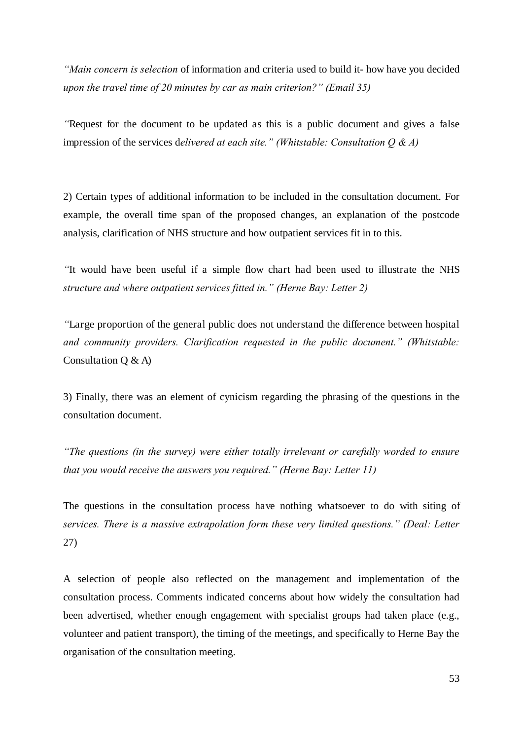*"Main concern is selection* of information and criteria used to build it- how have you decided *upon the travel time of 20 minutes by car as main criterion?" (Email 35)*

*"*Request for the document to be updated as this is a public document and gives a false impression of the services d*elivered at each site." (Whitstable: Consultation Q & A)*

2) Certain types of additional information to be included in the consultation document. For example, the overall time span of the proposed changes, an explanation of the postcode analysis, clarification of NHS structure and how outpatient services fit in to this.

*"*It would have been useful if a simple flow chart had been used to illustrate the NHS *structure and where outpatient services fitted in." (Herne Bay: Letter 2)*

*"*Large proportion of the general public does not understand the difference between hospital *and community providers. Clarification requested in the public document." (Whitstable:*  Consultation Q & A)

3) Finally, there was an element of cynicism regarding the phrasing of the questions in the consultation document.

*"The questions (in the survey) were either totally irrelevant or carefully worded to ensure that you would receive the answers you required." (Herne Bay: Letter 11)*

The questions in the consultation process have nothing whatsoever to do with siting of *services. There is a massive extrapolation form these very limited questions." (Deal: Letter*  27)

A selection of people also reflected on the management and implementation of the consultation process. Comments indicated concerns about how widely the consultation had been advertised, whether enough engagement with specialist groups had taken place (e.g., volunteer and patient transport), the timing of the meetings, and specifically to Herne Bay the organisation of the consultation meeting.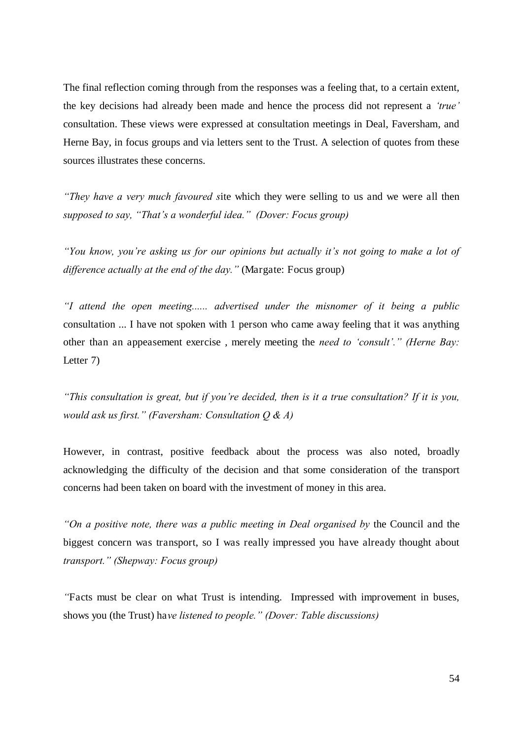<span id="page-58-0"></span>The final reflection coming through from the responses was a feeling that, to a certain extent, the key decisions had already been made and hence the process did not represent a *'true'* consultation. These views were expressed at consultation meetings in Deal, Faversham, and Herne Bay, in focus groups and via letters sent to the Trust. A selection of quotes from these sources illustrates these concerns.

*"They have a very much favoured s*ite which they were selling to us and we were all then *supposed to say, "That's a wonderful idea." (Dover: Focus group)*

*"You know, you're asking us for our opinions but actually it's not going to make a lot of difference actually at the end of the day."* (Margate: Focus group)

*"I attend the open meeting...... advertised under the misnomer of it being a public*  consultation ... I have not spoken with 1 person who came away feeling that it was anything other than an appeasement exercise , merely meeting the *need to 'consult'." (Herne Bay:*  Letter 7)

*"This consultation is great, but if you're decided, then is it a true consultation? If it is you, would ask us first." (Faversham: Consultation Q & A)*

However, in contrast, positive feedback about the process was also noted, broadly acknowledging the difficulty of the decision and that some consideration of the transport concerns had been taken on board with the investment of money in this area.

*"On a positive note, there was a public meeting in Deal organised by* the Council and the biggest concern was transport, so I was really impressed you have already thought about *transport." (Shepway: Focus group)*

*"*Facts must be clear on what Trust is intending. Impressed with improvement in buses, shows you (the Trust) ha*ve listened to people." (Dover: Table discussions)*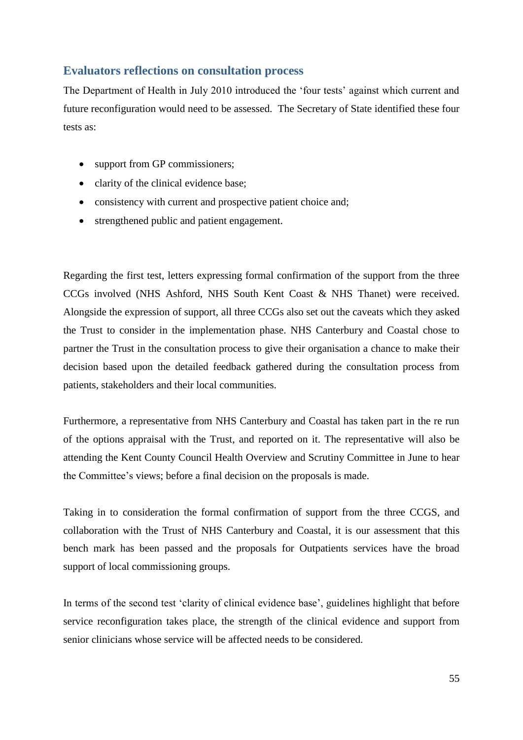## **Evaluators reflections on consultation process**

The Department of Health in July 2010 introduced the 'four tests' against which current and future reconfiguration would need to be assessed. The Secretary of State identified these four tests as:

- support from GP commissioners;
- clarity of the clinical evidence base;
- consistency with current and prospective patient choice and;
- strengthened public and patient engagement.

Regarding the first test, letters expressing formal confirmation of the support from the three CCGs involved (NHS Ashford, NHS South Kent Coast & NHS Thanet) were received. Alongside the expression of support, all three CCGs also set out the caveats which they asked the Trust to consider in the implementation phase. NHS Canterbury and Coastal chose to partner the Trust in the consultation process to give their organisation a chance to make their decision based upon the detailed feedback gathered during the consultation process from patients, stakeholders and their local communities.

Furthermore, a representative from NHS Canterbury and Coastal has taken part in the re run of the options appraisal with the Trust, and reported on it. The representative will also be attending the Kent County Council Health Overview and Scrutiny Committee in June to hear the Committee's views; before a final decision on the proposals is made.

Taking in to consideration the formal confirmation of support from the three CCGS, and collaboration with the Trust of NHS Canterbury and Coastal, it is our assessment that this bench mark has been passed and the proposals for Outpatients services have the broad support of local commissioning groups.

In terms of the second test 'clarity of clinical evidence base', guidelines highlight that before service reconfiguration takes place, the strength of the clinical evidence and support from senior clinicians whose service will be affected needs to be considered.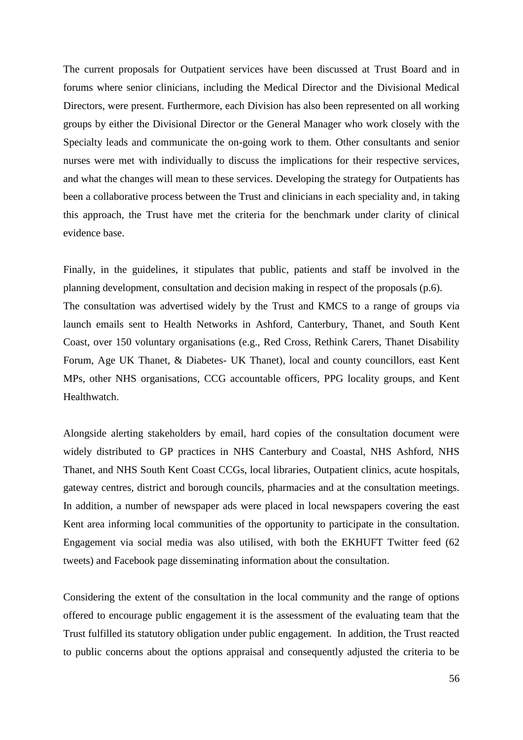The current proposals for Outpatient services have been discussed at Trust Board and in forums where senior clinicians, including the Medical Director and the Divisional Medical Directors, were present. Furthermore, each Division has also been represented on all working groups by either the Divisional Director or the General Manager who work closely with the Specialty leads and communicate the on-going work to them. Other consultants and senior nurses were met with individually to discuss the implications for their respective services, and what the changes will mean to these services. Developing the strategy for Outpatients has been a collaborative process between the Trust and clinicians in each speciality and, in taking this approach, the Trust have met the criteria for the benchmark under clarity of clinical evidence base.

Finally, in the guidelines, it stipulates that public, patients and staff be involved in the planning development, consultation and decision making in respect of the proposals (p.6). The consultation was advertised widely by the Trust and KMCS to a range of groups via launch emails sent to Health Networks in Ashford, Canterbury, Thanet, and South Kent Coast, over 150 voluntary organisations (e.g., Red Cross, Rethink Carers, Thanet Disability Forum, Age UK Thanet, & Diabetes- UK Thanet), local and county councillors, east Kent MPs, other NHS organisations, CCG accountable officers, PPG locality groups, and Kent Healthwatch.

<span id="page-60-0"></span>Alongside alerting stakeholders by email, hard copies of the consultation document were widely distributed to GP practices in NHS Canterbury and Coastal, NHS Ashford, NHS Thanet, and NHS South Kent Coast CCGs, local libraries, Outpatient clinics, acute hospitals, gateway centres, district and borough councils, pharmacies and at the consultation meetings. In addition, a number of newspaper ads were placed in local newspapers covering the east Kent area informing local communities of the opportunity to participate in the consultation. Engagement via social media was also utilised, with both the EKHUFT Twitter feed (62 tweets) and Facebook page disseminating information about the consultation.

Considering the extent of the consultation in the local community and the range of options offered to encourage public engagement it is the assessment of the evaluating team that the Trust fulfilled its statutory obligation under public engagement. In addition, the Trust reacted to public concerns about the options appraisal and consequently adjusted the criteria to be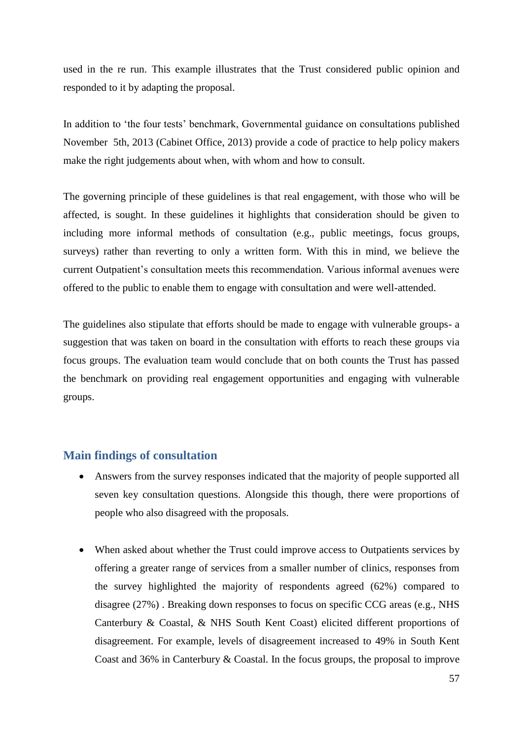used in the re run. This example illustrates that the Trust considered public opinion and responded to it by adapting the proposal.

In addition to 'the four tests' benchmark, Governmental guidance on consultations published November 5th, 2013 (Cabinet Office, 2013) provide a code of practice to help policy makers make the right judgements about when, with whom and how to consult.

The governing principle of these guidelines is that real engagement, with those who will be affected, is sought. In these guidelines it highlights that consideration should be given to including more informal methods of consultation (e.g., public meetings, focus groups, surveys) rather than reverting to only a written form. With this in mind, we believe the current Outpatient's consultation meets this recommendation. Various informal avenues were offered to the public to enable them to engage with consultation and were well-attended.

The guidelines also stipulate that efforts should be made to engage with vulnerable groups- a suggestion that was taken on board in the consultation with efforts to reach these groups via focus groups. The evaluation team would conclude that on both counts the Trust has passed the benchmark on providing real engagement opportunities and engaging with vulnerable groups.

## **Main findings of consultation**

- Answers from the survey responses indicated that the majority of people supported all seven key consultation questions. Alongside this though, there were proportions of people who also disagreed with the proposals.
- When asked about whether the Trust could improve access to Outpatients services by offering a greater range of services from a smaller number of clinics, responses from the survey highlighted the majority of respondents agreed (62%) compared to disagree (27%) . Breaking down responses to focus on specific CCG areas (e.g., NHS Canterbury & Coastal, & NHS South Kent Coast) elicited different proportions of disagreement. For example, levels of disagreement increased to 49% in South Kent Coast and 36% in Canterbury & Coastal. In the focus groups, the proposal to improve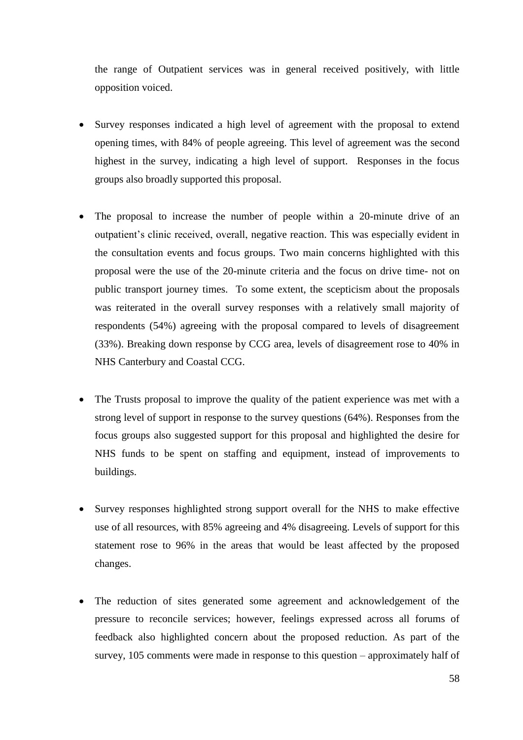the range of Outpatient services was in general received positively, with little opposition voiced.

- Survey responses indicated a high level of agreement with the proposal to extend opening times, with 84% of people agreeing. This level of agreement was the second highest in the survey, indicating a high level of support. Responses in the focus groups also broadly supported this proposal.
- The proposal to increase the number of people within a 20-minute drive of an outpatient's clinic received, overall, negative reaction. This was especially evident in the consultation events and focus groups. Two main concerns highlighted with this proposal were the use of the 20-minute criteria and the focus on drive time- not on public transport journey times. To some extent, the scepticism about the proposals was reiterated in the overall survey responses with a relatively small majority of respondents (54%) agreeing with the proposal compared to levels of disagreement (33%). Breaking down response by CCG area, levels of disagreement rose to 40% in NHS Canterbury and Coastal CCG.
- The Trusts proposal to improve the quality of the patient experience was met with a strong level of support in response to the survey questions (64%). Responses from the focus groups also suggested support for this proposal and highlighted the desire for NHS funds to be spent on staffing and equipment, instead of improvements to buildings.
- Survey responses highlighted strong support overall for the NHS to make effective use of all resources, with 85% agreeing and 4% disagreeing. Levels of support for this statement rose to 96% in the areas that would be least affected by the proposed changes.
- <span id="page-62-0"></span> The reduction of sites generated some agreement and acknowledgement of the pressure to reconcile services; however, feelings expressed across all forums of feedback also highlighted concern about the proposed reduction. As part of the survey, 105 comments were made in response to this question – approximately half of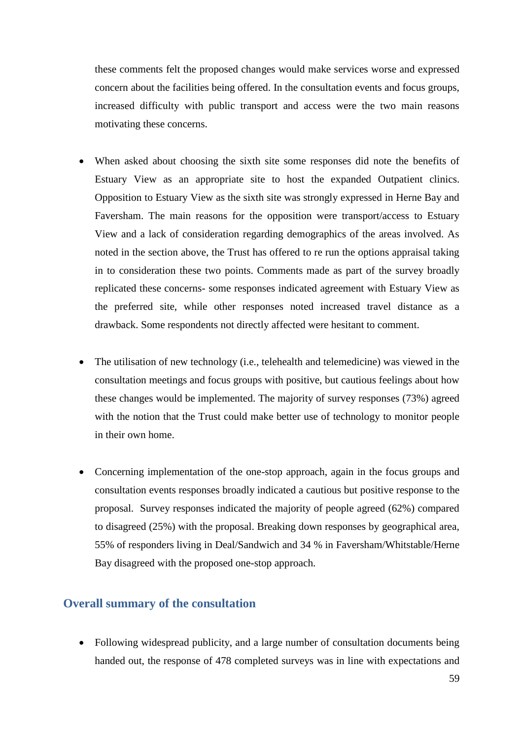these comments felt the proposed changes would make services worse and expressed concern about the facilities being offered. In the consultation events and focus groups, increased difficulty with public transport and access were the two main reasons motivating these concerns.

- When asked about choosing the sixth site some responses did note the benefits of Estuary View as an appropriate site to host the expanded Outpatient clinics. Opposition to Estuary View as the sixth site was strongly expressed in Herne Bay and Faversham. The main reasons for the opposition were transport/access to Estuary View and a lack of consideration regarding demographics of the areas involved. As noted in the section above, the Trust has offered to re run the options appraisal taking in to consideration these two points. Comments made as part of the survey broadly replicated these concerns- some responses indicated agreement with Estuary View as the preferred site, while other responses noted increased travel distance as a drawback. Some respondents not directly affected were hesitant to comment.
- The utilisation of new technology (i.e., telehealth and telemedicine) was viewed in the consultation meetings and focus groups with positive, but cautious feelings about how these changes would be implemented. The majority of survey responses (73%) agreed with the notion that the Trust could make better use of technology to monitor people in their own home.
- Concerning implementation of the one-stop approach, again in the focus groups and consultation events responses broadly indicated a cautious but positive response to the proposal. Survey responses indicated the majority of people agreed (62%) compared to disagreed (25%) with the proposal. Breaking down responses by geographical area, 55% of responders living in Deal/Sandwich and 34 % in Faversham/Whitstable/Herne Bay disagreed with the proposed one-stop approach.

## **Overall summary of the consultation**

• Following widespread publicity, and a large number of consultation documents being handed out, the response of 478 completed surveys was in line with expectations and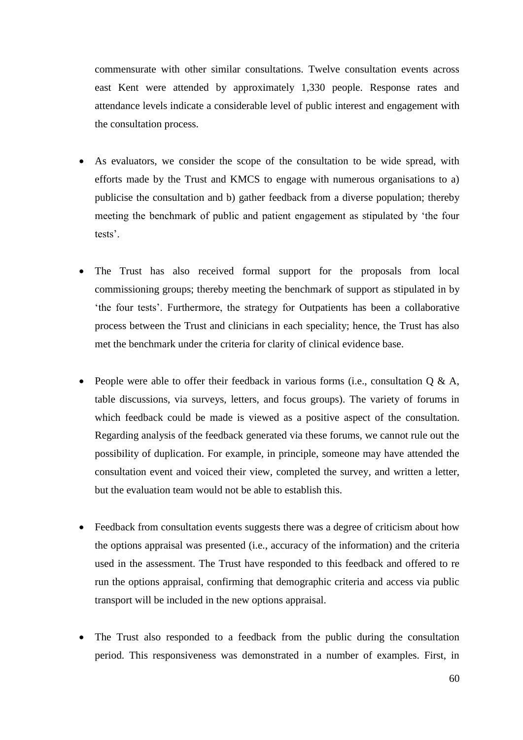commensurate with other similar consultations. Twelve consultation events across east Kent were attended by approximately 1,330 people. Response rates and attendance levels indicate a considerable level of public interest and engagement with the consultation process.

- As evaluators, we consider the scope of the consultation to be wide spread, with efforts made by the Trust and KMCS to engage with numerous organisations to a) publicise the consultation and b) gather feedback from a diverse population; thereby meeting the benchmark of public and patient engagement as stipulated by 'the four tests'.
- <span id="page-64-0"></span> The Trust has also received formal support for the proposals from local commissioning groups; thereby meeting the benchmark of support as stipulated in by 'the four tests'. Furthermore, the strategy for Outpatients has been a collaborative process between the Trust and clinicians in each speciality; hence, the Trust has also met the benchmark under the criteria for clarity of clinical evidence base.
- People were able to offer their feedback in various forms (i.e., consultation Q & A, table discussions, via surveys, letters, and focus groups). The variety of forums in which feedback could be made is viewed as a positive aspect of the consultation. Regarding analysis of the feedback generated via these forums, we cannot rule out the possibility of duplication. For example, in principle, someone may have attended the consultation event and voiced their view, completed the survey, and written a letter, but the evaluation team would not be able to establish this.
- Feedback from consultation events suggests there was a degree of criticism about how the options appraisal was presented (i.e., accuracy of the information) and the criteria used in the assessment. The Trust have responded to this feedback and offered to re run the options appraisal, confirming that demographic criteria and access via public transport will be included in the new options appraisal.
- The Trust also responded to a feedback from the public during the consultation period. This responsiveness was demonstrated in a number of examples. First, in